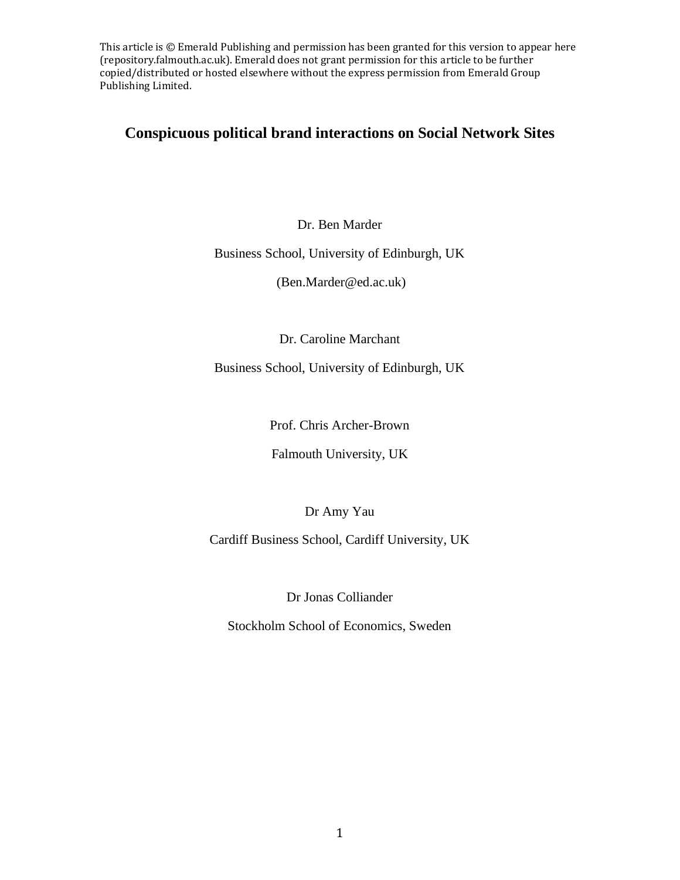## **Conspicuous political brand interactions on Social Network Sites**

Dr. Ben Marder

Business School, University of Edinburgh, UK

(Ben.Marder@ed.ac.uk)

Dr. Caroline Marchant

Business School, University of Edinburgh, UK

Prof. Chris Archer-Brown

Falmouth University, UK

Dr Amy Yau

Cardiff Business School, Cardiff University, UK

Dr Jonas Colliander

Stockholm School of Economics, Sweden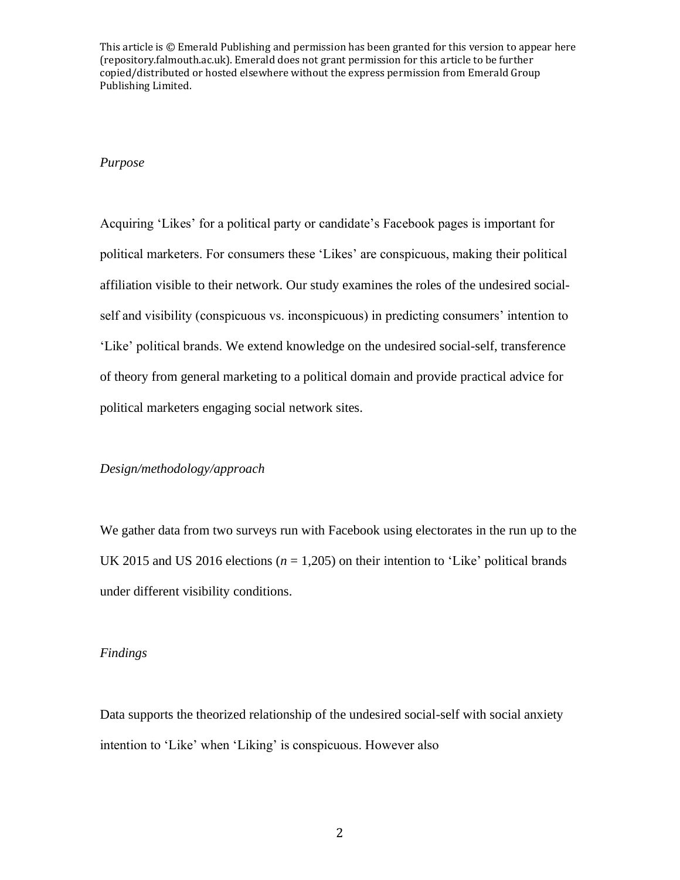#### *Purpose*

Acquiring 'Likes' for a political party or candidate's Facebook pages is important for political marketers. For consumers these 'Likes' are conspicuous, making their political affiliation visible to their network. Our study examines the roles of the undesired socialself and visibility (conspicuous vs. inconspicuous) in predicting consumers' intention to 'Like' political brands. We extend knowledge on the undesired social-self, transference of theory from general marketing to a political domain and provide practical advice for political marketers engaging social network sites.

#### *Design/methodology/approach*

We gather data from two surveys run with Facebook using electorates in the run up to the UK 2015 and US 2016 elections ( $n = 1,205$ ) on their intention to 'Like' political brands under different visibility conditions.

#### *Findings*

Data supports the theorized relationship of the undesired social-self with social anxiety intention to 'Like' when 'Liking' is conspicuous. However also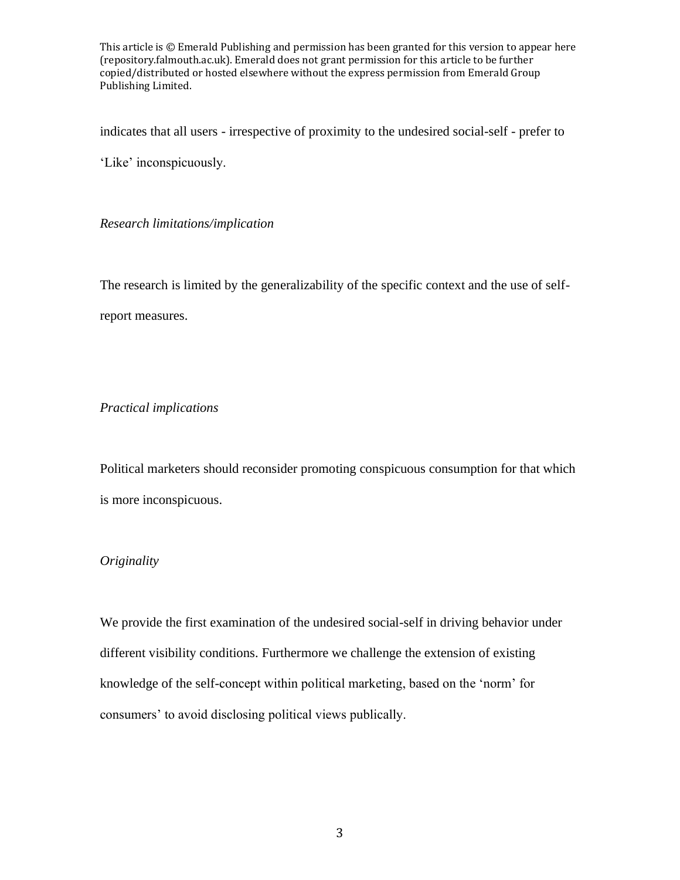indicates that all users - irrespective of proximity to the undesired social-self - prefer to

'Like' inconspicuously.

*Research limitations/implication* 

The research is limited by the generalizability of the specific context and the use of selfreport measures.

## *Practical implications*

Political marketers should reconsider promoting conspicuous consumption for that which is more inconspicuous.

## *Originality*

We provide the first examination of the undesired social-self in driving behavior under different visibility conditions. Furthermore we challenge the extension of existing knowledge of the self-concept within political marketing, based on the 'norm' for consumers' to avoid disclosing political views publically.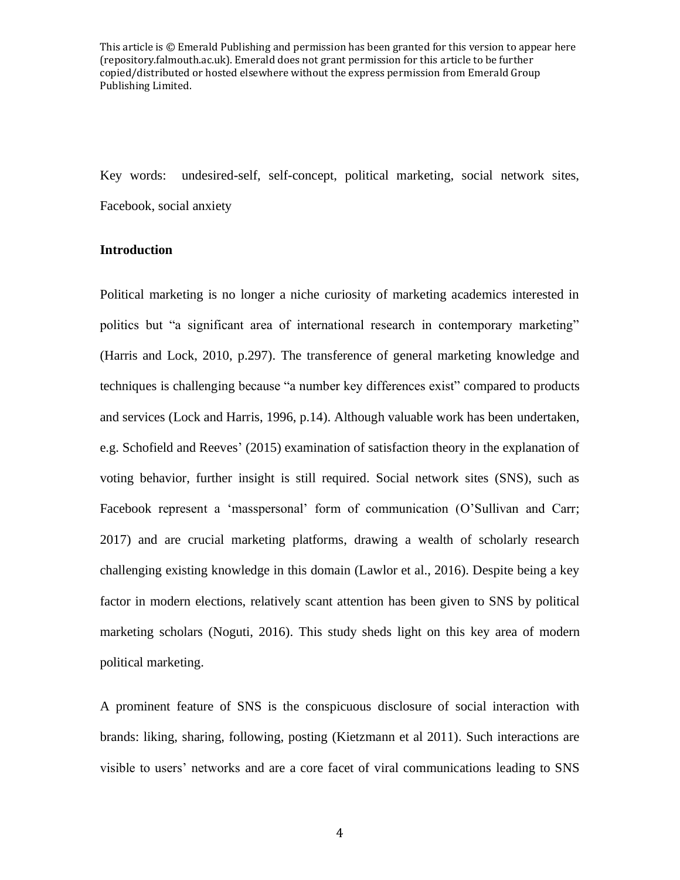Key words: undesired-self, self-concept, political marketing, social network sites, Facebook, social anxiety

#### **Introduction**

Political marketing is no longer a niche curiosity of marketing academics interested in politics but "a significant area of international research in contemporary marketing" (Harris and Lock, 2010, p.297). The transference of general marketing knowledge and techniques is challenging because "a number key differences exist" compared to products and services (Lock and Harris, 1996, p.14). Although valuable work has been undertaken, e.g. Schofield and Reeves' (2015) examination of satisfaction theory in the explanation of voting behavior, further insight is still required. Social network sites (SNS), such as Facebook represent a 'masspersonal' form of communication (O'Sullivan and Carr; 2017) and are crucial marketing platforms, drawing a wealth of scholarly research challenging existing knowledge in this domain (Lawlor et al., 2016). Despite being a key factor in modern elections, relatively scant attention has been given to SNS by political marketing scholars (Noguti, 2016). This study sheds light on this key area of modern political marketing.

A prominent feature of SNS is the conspicuous disclosure of social interaction with brands: liking, sharing, following, posting (Kietzmann et al 2011). Such interactions are visible to users' networks and are a core facet of viral communications leading to SNS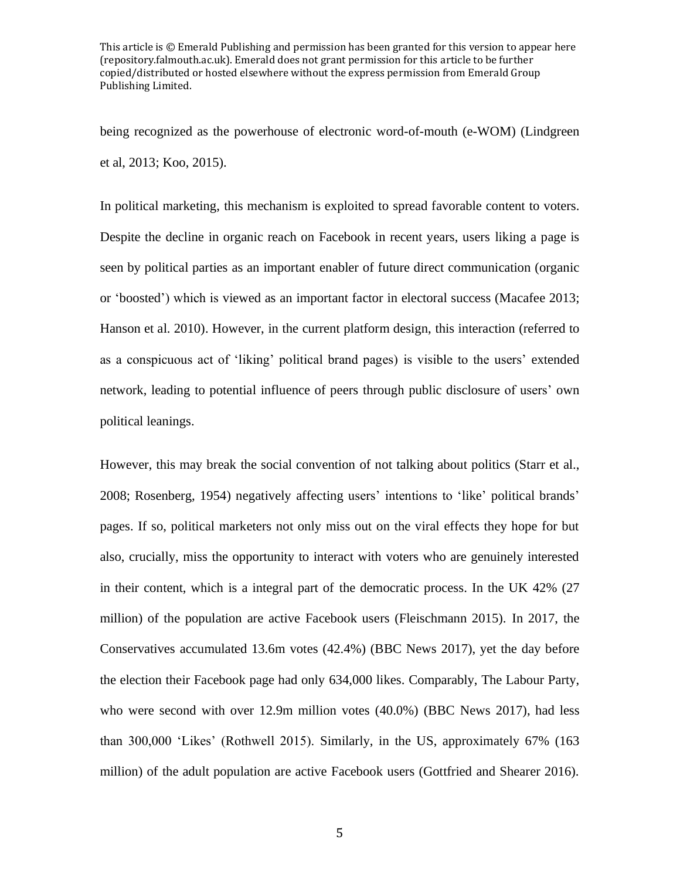being recognized as the powerhouse of electronic word-of-mouth (e-WOM) (Lindgreen et al, 2013; Koo, 2015).

In political marketing, this mechanism is exploited to spread favorable content to voters. Despite the decline in organic reach on Facebook in recent years, users liking a page is seen by political parties as an important enabler of future direct communication (organic or 'boosted') which is viewed as an important factor in electoral success (Macafee 2013; Hanson et al. 2010). However, in the current platform design, this interaction (referred to as a conspicuous act of 'liking' political brand pages) is visible to the users' extended network, leading to potential influence of peers through public disclosure of users' own political leanings.

However, this may break the social convention of not talking about politics (Starr et al., 2008; Rosenberg, 1954) negatively affecting users' intentions to 'like' political brands' pages. If so, political marketers not only miss out on the viral effects they hope for but also, crucially, miss the opportunity to interact with voters who are genuinely interested in their content, which is a integral part of the democratic process. In the UK 42% (27 million) of the population are active Facebook users (Fleischmann 2015). In 2017, the Conservatives accumulated 13.6m votes (42.4%) (BBC News 2017), yet the day before the election their Facebook page had only 634,000 likes. Comparably, The Labour Party, who were second with over 12.9m million votes (40.0%) (BBC News 2017), had less than 300,000 'Likes' (Rothwell 2015). Similarly, in the US, approximately 67% (163 million) of the adult population are active Facebook users (Gottfried and Shearer 2016).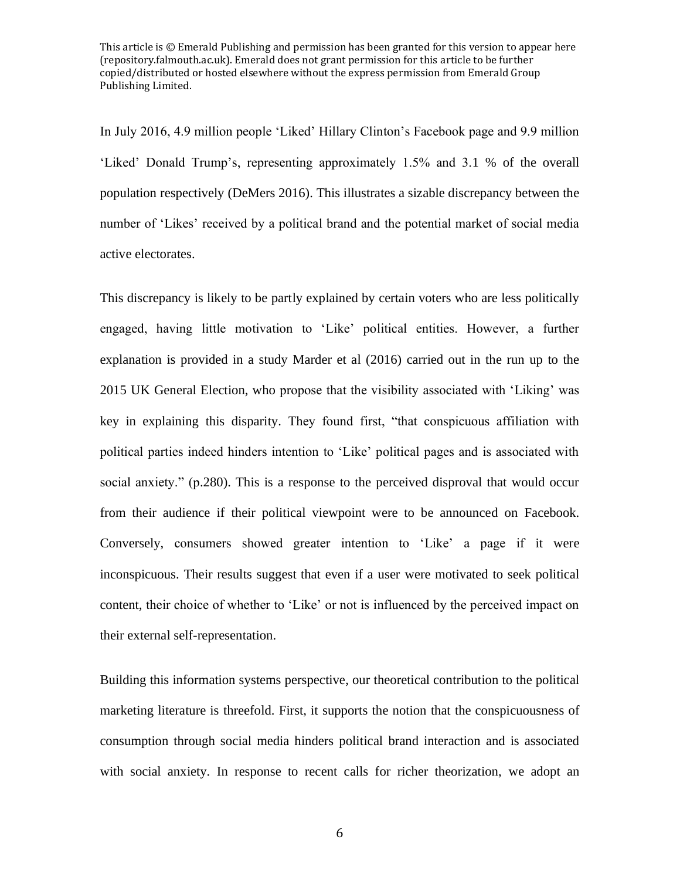In July 2016, 4.9 million people 'Liked' Hillary Clinton's Facebook page and 9.9 million 'Liked' Donald Trump's, representing approximately 1.5% and 3.1 % of the overall population respectively (DeMers 2016). This illustrates a sizable discrepancy between the number of 'Likes' received by a political brand and the potential market of social media active electorates.

This discrepancy is likely to be partly explained by certain voters who are less politically engaged, having little motivation to 'Like' political entities. However, a further explanation is provided in a study Marder et al (2016) carried out in the run up to the 2015 UK General Election, who propose that the visibility associated with 'Liking' was key in explaining this disparity. They found first, "that conspicuous affiliation with political parties indeed hinders intention to 'Like' political pages and is associated with social anxiety." (p.280). This is a response to the perceived disproval that would occur from their audience if their political viewpoint were to be announced on Facebook. Conversely, consumers showed greater intention to 'Like' a page if it were inconspicuous. Their results suggest that even if a user were motivated to seek political content, their choice of whether to 'Like' or not is influenced by the perceived impact on their external self-representation.

Building this information systems perspective, our theoretical contribution to the political marketing literature is threefold. First, it supports the notion that the conspicuousness of consumption through social media hinders political brand interaction and is associated with social anxiety. In response to recent calls for richer theorization, we adopt an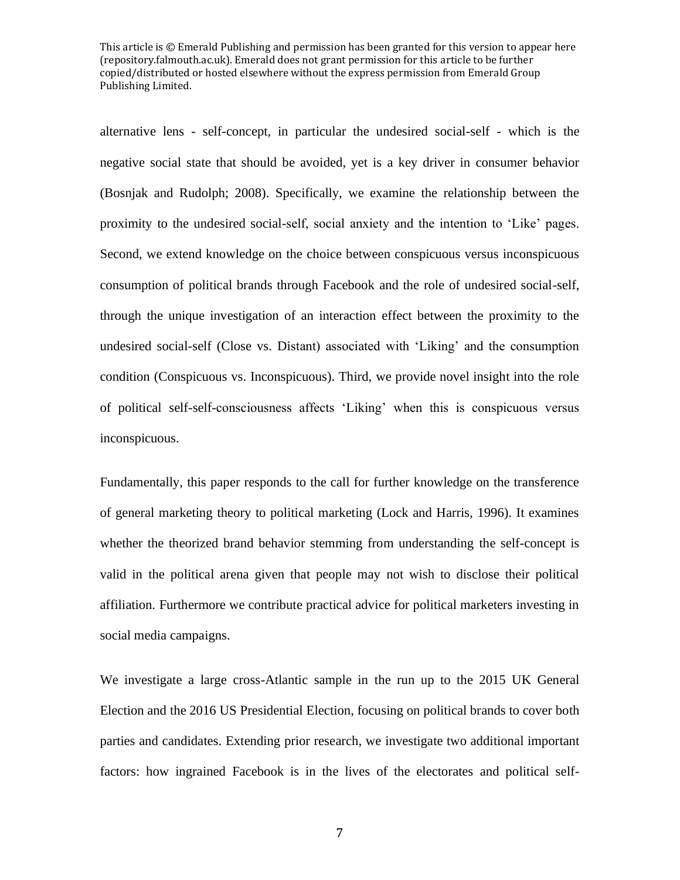alternative lens - self-concept, in particular the undesired social-self - which is the negative social state that should be avoided, yet is a key driver in consumer behavior (Bosnjak and Rudolph; 2008). Specifically, we examine the relationship between the proximity to the undesired social-self, social anxiety and the intention to 'Like' pages. Second, we extend knowledge on the choice between conspicuous versus inconspicuous consumption of political brands through Facebook and the role of undesired social-self, through the unique investigation of an interaction effect between the proximity to the undesired social-self (Close vs. Distant) associated with 'Liking' and the consumption condition (Conspicuous vs. Inconspicuous). Third, we provide novel insight into the role of political self-self-consciousness affects 'Liking' when this is conspicuous versus inconspicuous.

Fundamentally, this paper responds to the call for further knowledge on the transference of general marketing theory to political marketing (Lock and Harris, 1996). It examines whether the theorized brand behavior stemming from understanding the self-concept is valid in the political arena given that people may not wish to disclose their political affiliation. Furthermore we contribute practical advice for political marketers investing in social media campaigns.

We investigate a large cross-Atlantic sample in the run up to the 2015 UK General Election and the 2016 US Presidential Election, focusing on political brands to cover both parties and candidates. Extending prior research, we investigate two additional important factors: how ingrained Facebook is in the lives of the electorates and political self-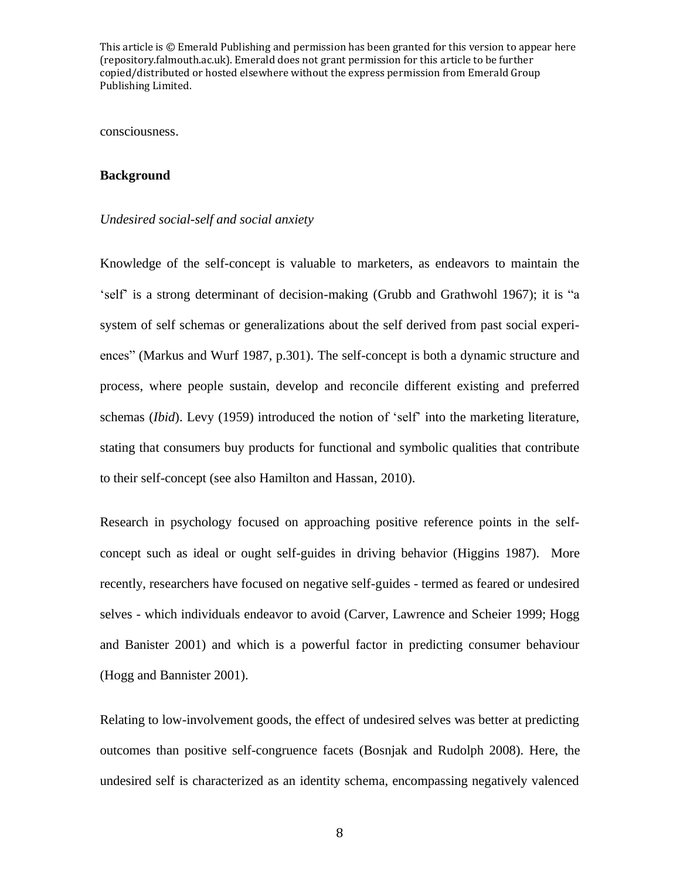consciousness.

#### **Background**

#### *Undesired social-self and social anxiety*

Knowledge of the self-concept is valuable to marketers, as endeavors to maintain the 'self' is a strong determinant of decision-making (Grubb and Grathwohl 1967); it is "a system of self schemas or generalizations about the self derived from past social experiences" (Markus and Wurf 1987, p.301). The self-concept is both a dynamic structure and process, where people sustain, develop and reconcile different existing and preferred schemas (*Ibid*). Levy (1959) introduced the notion of 'self' into the marketing literature, stating that consumers buy products for functional and symbolic qualities that contribute to their self-concept (see also Hamilton and Hassan, 2010).

Research in psychology focused on approaching positive reference points in the selfconcept such as ideal or ought self-guides in driving behavior (Higgins 1987). More recently, researchers have focused on negative self-guides - termed as feared or undesired selves - which individuals endeavor to avoid (Carver, Lawrence and Scheier 1999; Hogg and Banister 2001) and which is a powerful factor in predicting consumer behaviour (Hogg and Bannister 2001).

Relating to low-involvement goods, the effect of undesired selves was better at predicting outcomes than positive self-congruence facets (Bosnjak and Rudolph 2008). Here, the undesired self is characterized as an identity schema, encompassing negatively valenced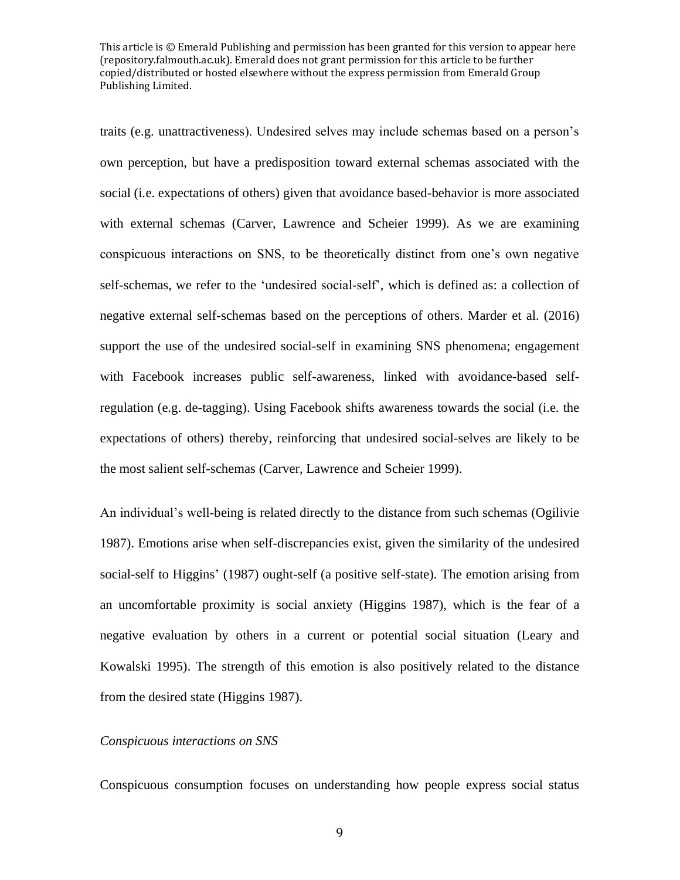traits (e.g. unattractiveness). Undesired selves may include schemas based on a person's own perception, but have a predisposition toward external schemas associated with the social (i.e. expectations of others) given that avoidance based-behavior is more associated with external schemas (Carver, Lawrence and Scheier 1999). As we are examining conspicuous interactions on SNS, to be theoretically distinct from one's own negative self-schemas, we refer to the 'undesired social-self', which is defined as: a collection of negative external self-schemas based on the perceptions of others. Marder et al. (2016) support the use of the undesired social-self in examining SNS phenomena; engagement with Facebook increases public self-awareness, linked with avoidance-based selfregulation (e.g. de-tagging). Using Facebook shifts awareness towards the social (i.e. the expectations of others) thereby, reinforcing that undesired social-selves are likely to be the most salient self-schemas (Carver, Lawrence and Scheier 1999).

An individual's well-being is related directly to the distance from such schemas (Ogilivie 1987). Emotions arise when self-discrepancies exist, given the similarity of the undesired social-self to Higgins' (1987) ought-self (a positive self-state). The emotion arising from an uncomfortable proximity is social anxiety (Higgins 1987), which is the fear of a negative evaluation by others in a current or potential social situation (Leary and Kowalski 1995). The strength of this emotion is also positively related to the distance from the desired state (Higgins 1987).

#### *Conspicuous interactions on SNS*

Conspicuous consumption focuses on understanding how people express social status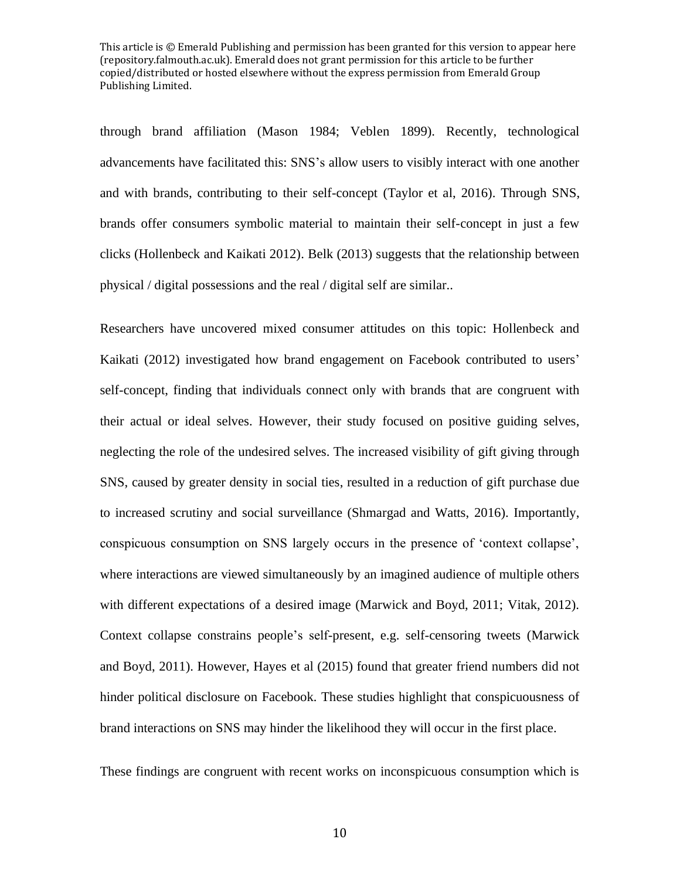through brand affiliation (Mason 1984; Veblen 1899). Recently, technological advancements have facilitated this: SNS's allow users to visibly interact with one another and with brands, contributing to their self-concept (Taylor et al, 2016). Through SNS, brands offer consumers symbolic material to maintain their self-concept in just a few clicks (Hollenbeck and Kaikati 2012). Belk (2013) suggests that the relationship between physical / digital possessions and the real / digital self are similar..

Researchers have uncovered mixed consumer attitudes on this topic: Hollenbeck and Kaikati (2012) investigated how brand engagement on Facebook contributed to users' self-concept, finding that individuals connect only with brands that are congruent with their actual or ideal selves. However, their study focused on positive guiding selves, neglecting the role of the undesired selves. The increased visibility of gift giving through SNS, caused by greater density in social ties, resulted in a reduction of gift purchase due to increased scrutiny and social surveillance (Shmargad and Watts, 2016). Importantly, conspicuous consumption on SNS largely occurs in the presence of 'context collapse', where interactions are viewed simultaneously by an imagined audience of multiple others with different expectations of a desired image (Marwick and Boyd, 2011; Vitak, 2012). Context collapse constrains people's self-present, e.g. self-censoring tweets (Marwick and Boyd, 2011). However, Hayes et al (2015) found that greater friend numbers did not hinder political disclosure on Facebook*.* These studies highlight that conspicuousness of brand interactions on SNS may hinder the likelihood they will occur in the first place.

These findings are congruent with recent works on inconspicuous consumption which is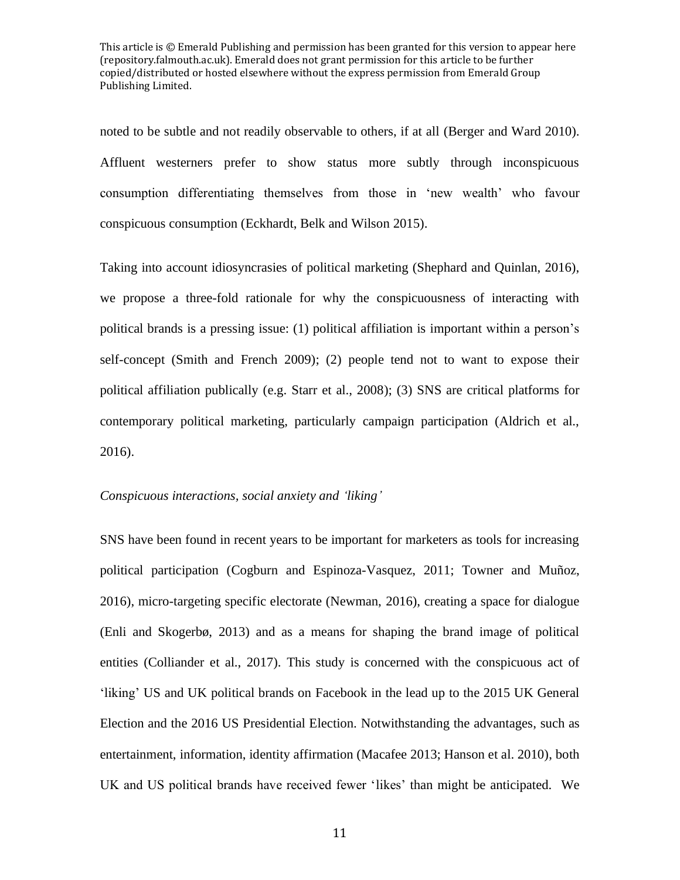noted to be subtle and not readily observable to others, if at all (Berger and Ward 2010). Affluent westerners prefer to show status more subtly through inconspicuous consumption differentiating themselves from those in 'new wealth' who favour conspicuous consumption (Eckhardt, Belk and Wilson 2015).

Taking into account idiosyncrasies of political marketing (Shephard and Quinlan, 2016), we propose a three-fold rationale for why the conspicuousness of interacting with political brands is a pressing issue: (1) political affiliation is important within a person's self-concept (Smith and French 2009); (2) people tend not to want to expose their political affiliation publically (e.g. Starr et al., 2008); (3) SNS are critical platforms for contemporary political marketing, particularly campaign participation (Aldrich et al., 2016).

#### *Conspicuous interactions, social anxiety and 'liking'*

SNS have been found in recent years to be important for marketers as tools for increasing political participation (Cogburn and Espinoza-Vasquez, 2011; Towner and Muñoz, 2016), micro-targeting specific electorate (Newman, 2016), creating a space for dialogue (Enli and Skogerbø, 2013) and as a means for shaping the brand image of political entities (Colliander et al., 2017). This study is concerned with the conspicuous act of 'liking' US and UK political brands on Facebook in the lead up to the 2015 UK General Election and the 2016 US Presidential Election. Notwithstanding the advantages, such as entertainment, information, identity affirmation (Macafee 2013; Hanson et al. 2010), both UK and US political brands have received fewer 'likes' than might be anticipated. We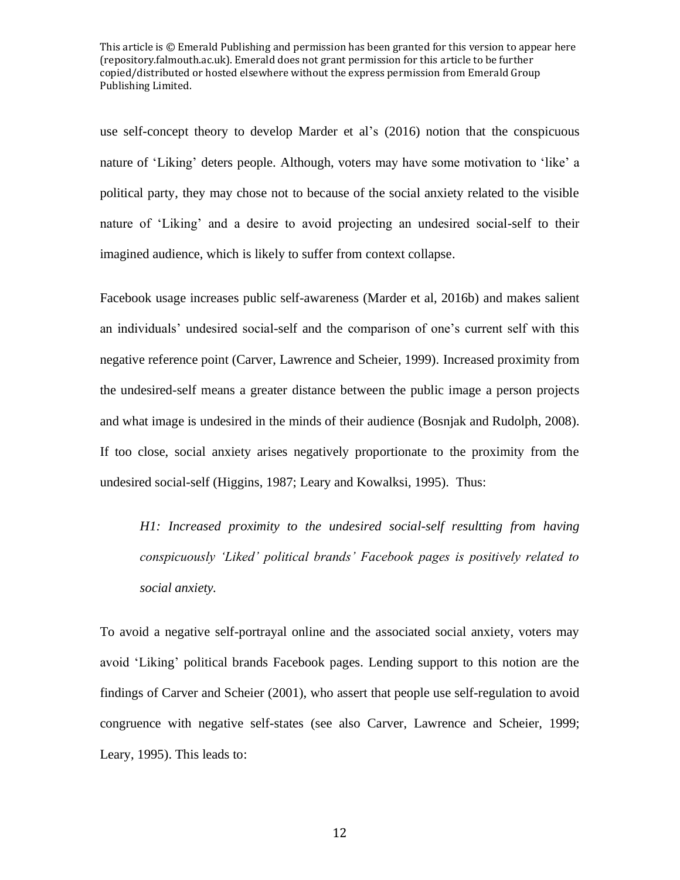use self-concept theory to develop Marder et al's (2016) notion that the conspicuous nature of 'Liking' deters people. Although, voters may have some motivation to 'like' a political party, they may chose not to because of the social anxiety related to the visible nature of 'Liking' and a desire to avoid projecting an undesired social-self to their imagined audience, which is likely to suffer from context collapse.

Facebook usage increases public self-awareness (Marder et al, 2016b) and makes salient an individuals' undesired social-self and the comparison of one's current self with this negative reference point (Carver, Lawrence and Scheier, 1999). Increased proximity from the undesired-self means a greater distance between the public image a person projects and what image is undesired in the minds of their audience (Bosnjak and Rudolph, 2008). If too close, social anxiety arises negatively proportionate to the proximity from the undesired social-self (Higgins, 1987; Leary and Kowalksi, 1995). Thus:

*H1: Increased proximity to the undesired social-self resultting from having conspicuously 'Liked' political brands' Facebook pages is positively related to social anxiety.* 

To avoid a negative self-portrayal online and the associated social anxiety, voters may avoid 'Liking' political brands Facebook pages. Lending support to this notion are the findings of Carver and Scheier (2001), who assert that people use self-regulation to avoid congruence with negative self-states (see also Carver, Lawrence and Scheier, 1999; Leary, 1995). This leads to: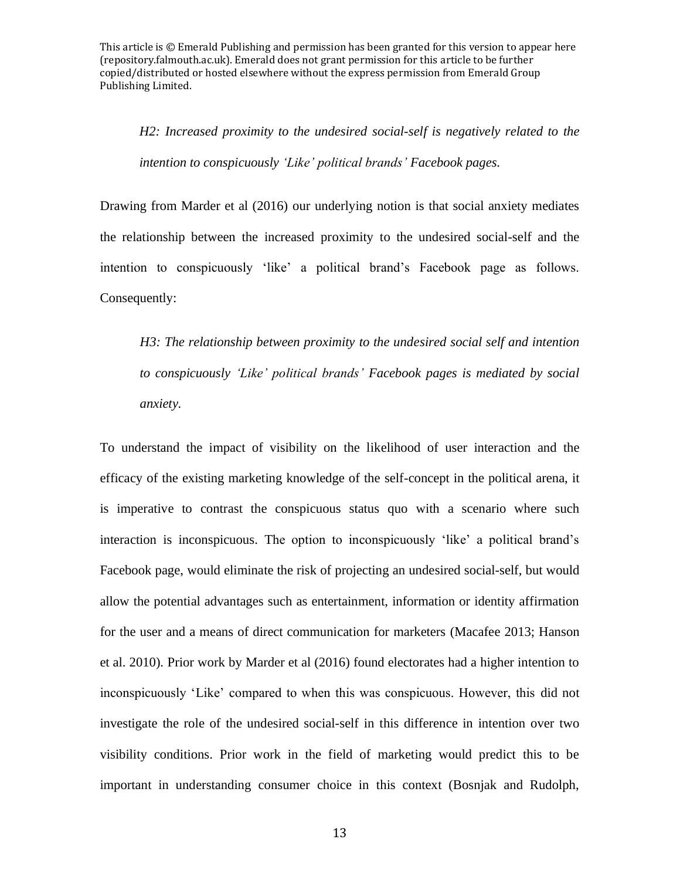*H2: Increased proximity to the undesired social-self is negatively related to the intention to conspicuously 'Like' political brands' Facebook pages.*

Drawing from Marder et al (2016) our underlying notion is that social anxiety mediates the relationship between the increased proximity to the undesired social-self and the intention to conspicuously 'like' a political brand's Facebook page as follows. Consequently:

*H3: The relationship between proximity to the undesired social self and intention to conspicuously 'Like' political brands' Facebook pages is mediated by social anxiety.*

To understand the impact of visibility on the likelihood of user interaction and the efficacy of the existing marketing knowledge of the self-concept in the political arena, it is imperative to contrast the conspicuous status quo with a scenario where such interaction is inconspicuous. The option to inconspicuously 'like' a political brand's Facebook page, would eliminate the risk of projecting an undesired social-self, but would allow the potential advantages such as entertainment, information or identity affirmation for the user and a means of direct communication for marketers (Macafee 2013; Hanson et al. 2010)*.* Prior work by Marder et al (2016) found electorates had a higher intention to inconspicuously 'Like' compared to when this was conspicuous. However, this did not investigate the role of the undesired social-self in this difference in intention over two visibility conditions. Prior work in the field of marketing would predict this to be important in understanding consumer choice in this context (Bosnjak and Rudolph,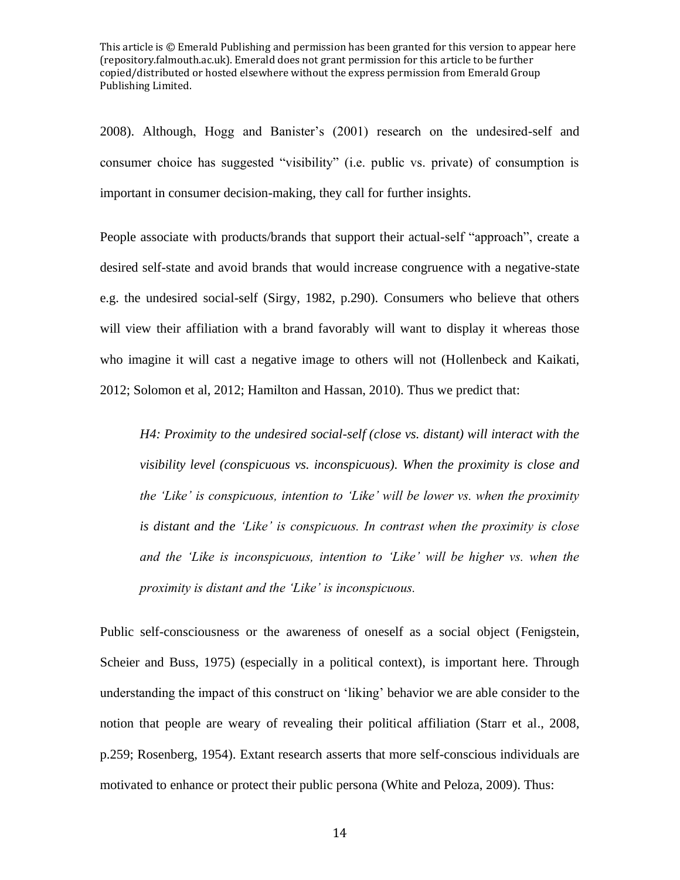2008). Although, Hogg and Banister's (2001) research on the undesired-self and consumer choice has suggested "visibility" (i.e. public vs. private) of consumption is important in consumer decision-making, they call for further insights.

People associate with products/brands that support their actual-self "approach", create a desired self-state and avoid brands that would increase congruence with a negative-state e.g. the undesired social-self (Sirgy, 1982, p.290). Consumers who believe that others will view their affiliation with a brand favorably will want to display it whereas those who imagine it will cast a negative image to others will not (Hollenbeck and Kaikati, 2012; Solomon et al, 2012; Hamilton and Hassan, 2010). Thus we predict that:

*H4: Proximity to the undesired social-self (close vs. distant) will interact with the visibility level (conspicuous vs. inconspicuous). When the proximity is close and the 'Like' is conspicuous, intention to 'Like' will be lower vs. when the proximity is distant and the 'Like' is conspicuous. In contrast when the proximity is close and the 'Like is inconspicuous, intention to 'Like' will be higher vs. when the proximity is distant and the 'Like' is inconspicuous.* 

Public self-consciousness or the awareness of oneself as a social object (Fenigstein, Scheier and Buss, 1975) (especially in a political context), is important here. Through understanding the impact of this construct on 'liking' behavior we are able consider to the notion that people are weary of revealing their political affiliation (Starr et al., 2008, p.259; Rosenberg, 1954). Extant research asserts that more self-conscious individuals are motivated to enhance or protect their public persona (White and Peloza, 2009). Thus: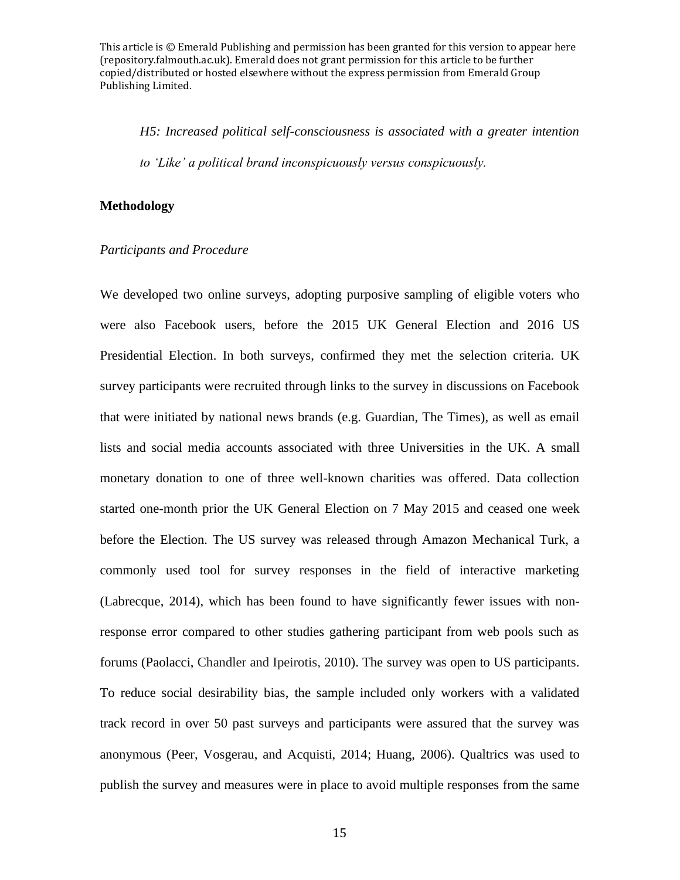*H5: Increased political self-consciousness is associated with a greater intention to 'Like' a political brand inconspicuously versus conspicuously.*

#### **Methodology**

#### *Participants and Procedure*

We developed two online surveys, adopting purposive sampling of eligible voters who were also Facebook users, before the 2015 UK General Election and 2016 US Presidential Election. In both surveys, confirmed they met the selection criteria. UK survey participants were recruited through links to the survey in discussions on Facebook that were initiated by national news brands (e.g. Guardian, The Times), as well as email lists and social media accounts associated with three Universities in the UK. A small monetary donation to one of three well-known charities was offered. Data collection started one-month prior the UK General Election on 7 May 2015 and ceased one week before the Election. The US survey was released through Amazon Mechanical Turk, a commonly used tool for survey responses in the field of interactive marketing (Labrecque, 2014), which has been found to have significantly fewer issues with nonresponse error compared to other studies gathering participant from web pools such as forums (Paolacci, Chandler and Ipeirotis, 2010). The survey was open to US participants. To reduce social desirability bias, the sample included only workers with a validated track record in over 50 past surveys and participants were assured that the survey was anonymous (Peer, Vosgerau, and Acquisti, 2014; Huang, 2006). Qualtrics was used to publish the survey and measures were in place to avoid multiple responses from the same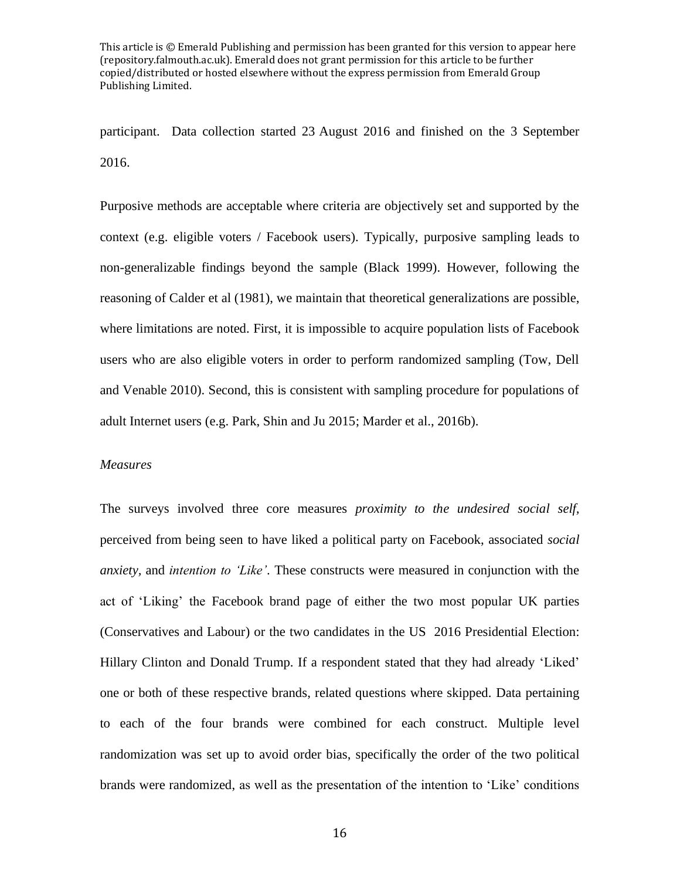participant. Data collection started 23 August 2016 and finished on the 3 September 2016.

Purposive methods are acceptable where criteria are objectively set and supported by the context (e.g. eligible voters / Facebook users). Typically, purposive sampling leads to non-generalizable findings beyond the sample (Black 1999). However, following the reasoning of Calder et al (1981), we maintain that theoretical generalizations are possible, where limitations are noted. First, it is impossible to acquire population lists of Facebook users who are also eligible voters in order to perform randomized sampling (Tow, Dell and Venable 2010). Second, this is consistent with sampling procedure for populations of adult Internet users (e.g. Park, Shin and Ju 2015; Marder et al., 2016b).

#### *Measures*

The surveys involved three core measures *proximity to the undesired social self,*  perceived from being seen to have liked a political party on Facebook, associated *social anxiety,* and *intention to 'Like'*. These constructs were measured in conjunction with the act of 'Liking' the Facebook brand page of either the two most popular UK parties (Conservatives and Labour) or the two candidates in the US 2016 Presidential Election: Hillary Clinton and Donald Trump. If a respondent stated that they had already 'Liked' one or both of these respective brands, related questions where skipped. Data pertaining to each of the four brands were combined for each construct. Multiple level randomization was set up to avoid order bias, specifically the order of the two political brands were randomized, as well as the presentation of the intention to 'Like' conditions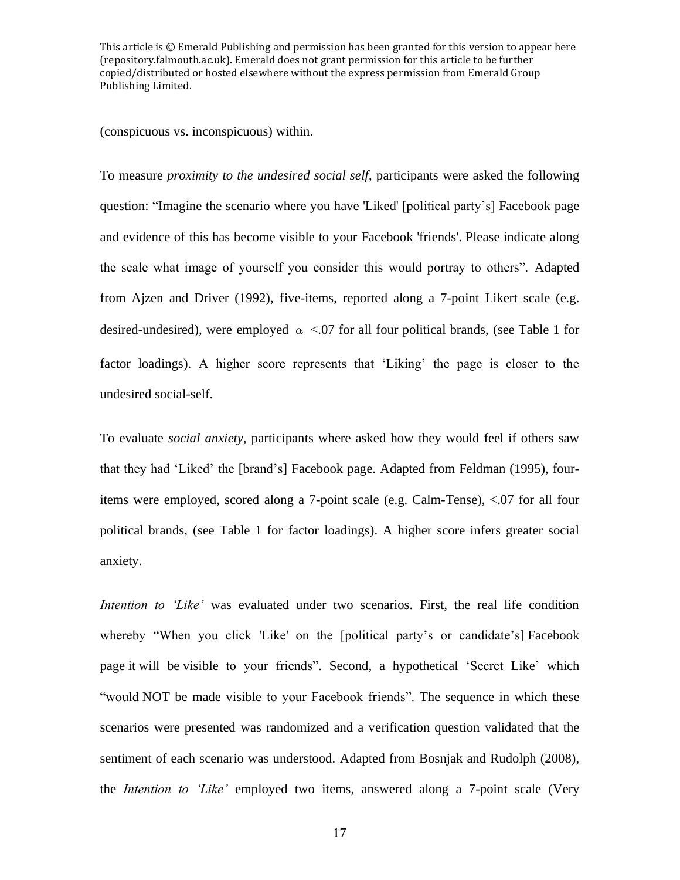(conspicuous vs. inconspicuous) within.

To measure *proximity to the undesired social self*, participants were asked the following question: "Imagine the scenario where you have 'Liked' [political party's] Facebook page and evidence of this has become visible to your Facebook 'friends'. Please indicate along the scale what image of yourself you consider this would portray to others". Adapted from Ajzen and Driver (1992), five-items, reported along a 7-point Likert scale (e.g. desired-undesired), were employed  $\alpha$  <.07 for all four political brands, (see Table 1 for factor loadings). A higher score represents that 'Liking' the page is closer to the undesired social-self.

To evaluate *social anxiety*, participants where asked how they would feel if others saw that they had 'Liked' the [brand's] Facebook page. Adapted from Feldman (1995), fouritems were employed, scored along a 7-point scale (e.g. Calm-Tense), <.07 for all four political brands, (see Table 1 for factor loadings). A higher score infers greater social anxiety.

*Intention to 'Like'* was evaluated under two scenarios. First, the real life condition whereby "When you click 'Like' on the [political party's or candidate's] Facebook page it will be visible to your friends". Second, a hypothetical 'Secret Like' which "would NOT be made visible to your Facebook friends". The sequence in which these scenarios were presented was randomized and a verification question validated that the sentiment of each scenario was understood. Adapted from Bosnjak and Rudolph (2008), the *Intention to 'Like'* employed two items, answered along a 7-point scale (Very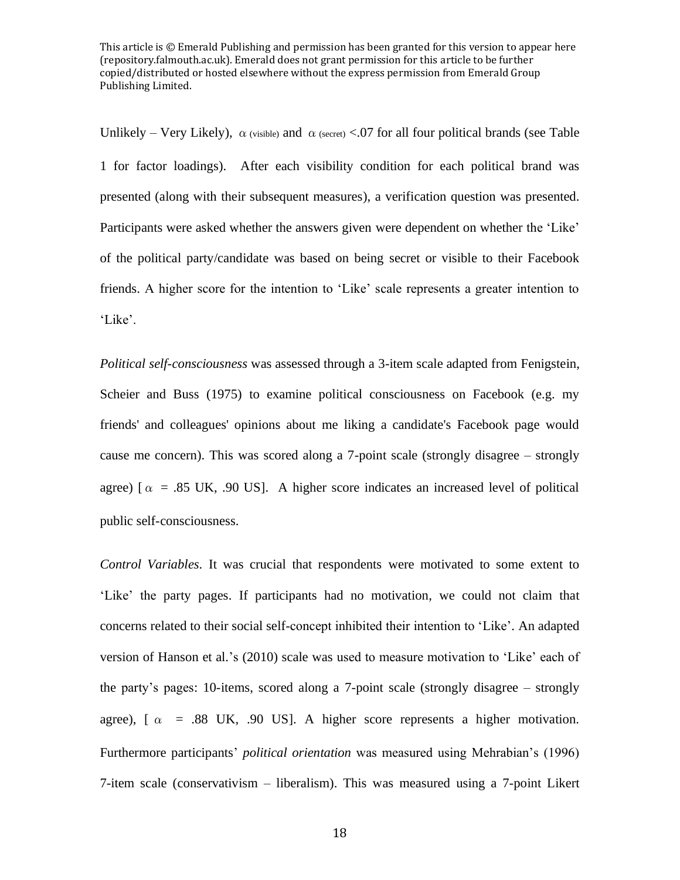Unlikely – Very Likely),  $\alpha$  (visible) and  $\alpha$  (secret) <.07 for all four political brands (see Table 1 for factor loadings). After each visibility condition for each political brand was presented (along with their subsequent measures), a verification question was presented. Participants were asked whether the answers given were dependent on whether the 'Like' of the political party/candidate was based on being secret or visible to their Facebook friends. A higher score for the intention to 'Like' scale represents a greater intention to 'Like'.

*Political self-consciousness* was assessed through a 3-item scale adapted from Fenigstein, Scheier and Buss (1975) to examine political consciousness on Facebook (e.g. my friends' and colleagues' opinions about me liking a candidate's Facebook page would cause me concern). This was scored along a 7-point scale (strongly disagree – strongly agree) [ $\alpha$  = .85 UK, .90 US]. A higher score indicates an increased level of political public self-consciousness.

*Control Variables.* It was crucial that respondents were motivated to some extent to 'Like' the party pages. If participants had no motivation, we could not claim that concerns related to their social self-concept inhibited their intention to 'Like'. An adapted version of Hanson et al.'s (2010) scale was used to measure motivation to 'Like' each of the party's pages: 10-items, scored along a 7-point scale (strongly disagree – strongly agree),  $\alpha$  = .88 UK, .90 US]. A higher score represents a higher motivation. Furthermore participants' *political orientation* was measured using Mehrabian's (1996) 7-item scale (conservativism – liberalism). This was measured using a 7-point Likert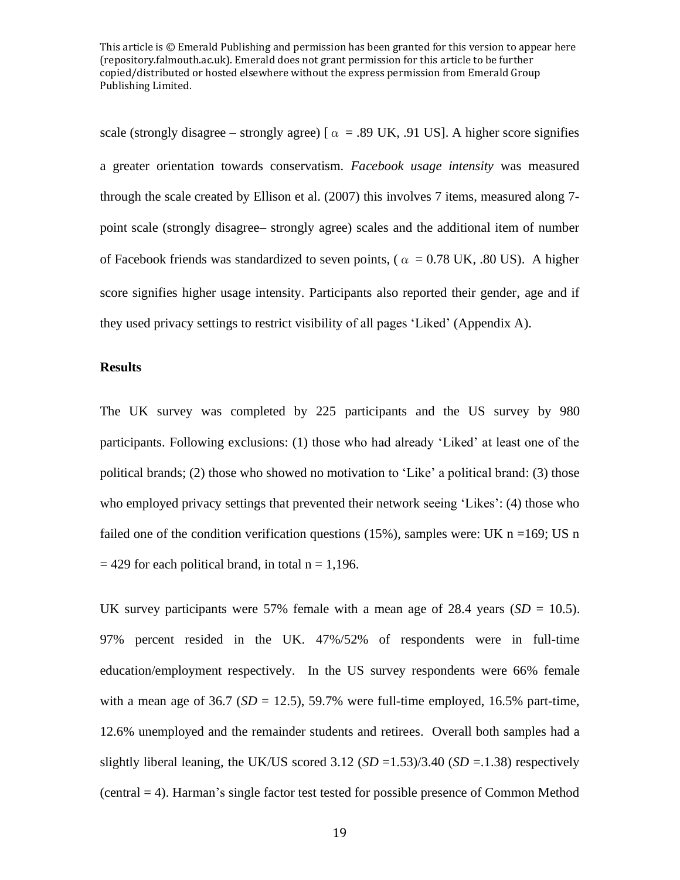scale (strongly disagree – strongly agree) [ $\alpha$  = .89 UK, .91 US]. A higher score signifies a greater orientation towards conservatism. *Facebook usage intensity* was measured through the scale created by Ellison et al. (2007) this involves 7 items, measured along 7 point scale (strongly disagree– strongly agree) scales and the additional item of number of Facebook friends was standardized to seven points, ( $\alpha = 0.78$  UK, .80 US). A higher score signifies higher usage intensity. Participants also reported their gender, age and if they used privacy settings to restrict visibility of all pages 'Liked' (Appendix A).

## **Results**

The UK survey was completed by 225 participants and the US survey by 980 participants. Following exclusions: (1) those who had already 'Liked' at least one of the political brands; (2) those who showed no motivation to 'Like' a political brand: (3) those who employed privacy settings that prevented their network seeing 'Likes': (4) those who failed one of the condition verification questions (15%), samples were: UK  $n = 169$ ; US n  $= 429$  for each political brand, in total n = 1,196.

UK survey participants were 57% female with a mean age of 28.4 years  $(SD = 10.5)$ . 97% percent resided in the UK. 47%/52% of respondents were in full-time education/employment respectively. In the US survey respondents were 66% female with a mean age of  $36.7$  ( $SD = 12.5$ ),  $59.7\%$  were full-time employed,  $16.5\%$  part-time, 12.6% unemployed and the remainder students and retirees. Overall both samples had a slightly liberal leaning, the UK/US scored  $3.12$  (*SD* = 1.53)/3.40 (*SD* = 1.38) respectively (central = 4). Harman's single factor test tested for possible presence of Common Method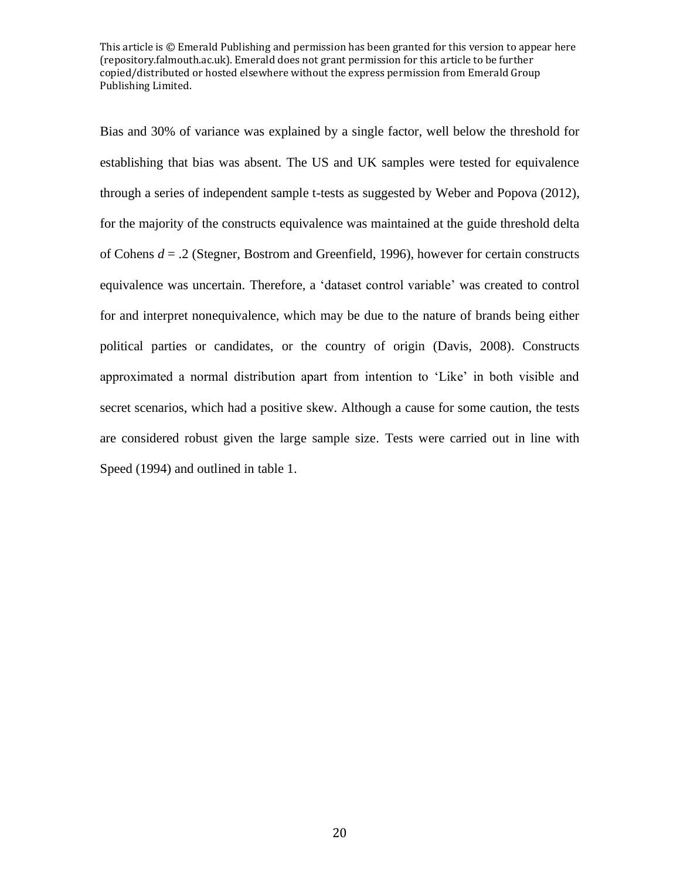Bias and 30% of variance was explained by a single factor, well below the threshold for establishing that bias was absent. The US and UK samples were tested for equivalence through a series of independent sample t-tests as suggested by Weber and Popova (2012), for the majority of the constructs equivalence was maintained at the guide threshold delta of Cohens *d* = .2 (Stegner, Bostrom and Greenfield, 1996), however for certain constructs equivalence was uncertain. Therefore, a 'dataset control variable' was created to control for and interpret nonequivalence, which may be due to the nature of brands being either political parties or candidates, or the country of origin (Davis, 2008). Constructs approximated a normal distribution apart from intention to 'Like' in both visible and secret scenarios, which had a positive skew. Although a cause for some caution, the tests are considered robust given the large sample size. Tests were carried out in line with Speed (1994) and outlined in table 1.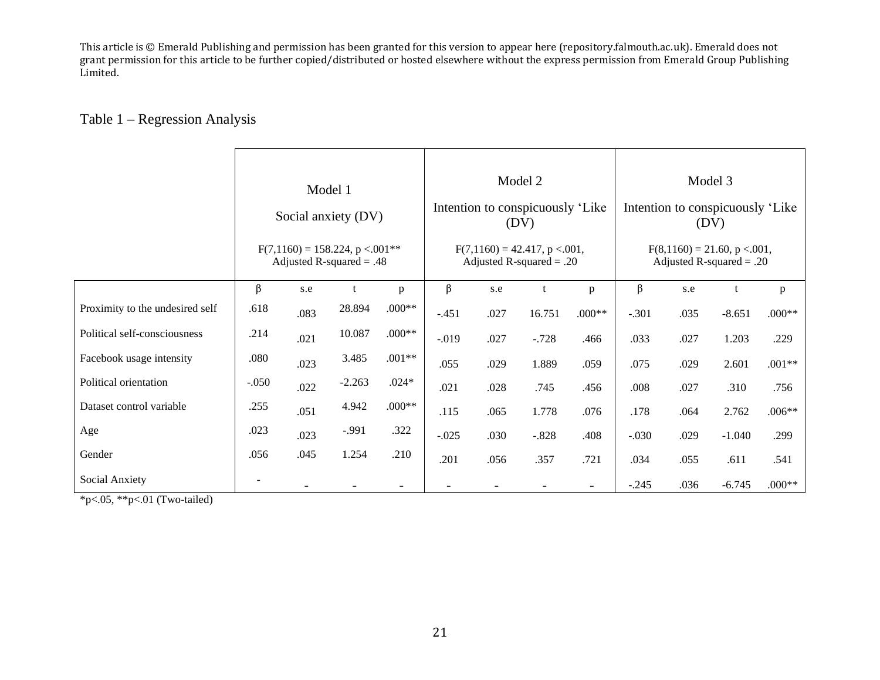# Table 1 – Regression Analysis

|                                 |                                                                             |      | Model 1<br>Social anxiety (DV) |          |          |      | Model 2<br>Intention to conspicuously 'Like<br>(DV)           |                          | Model 3<br>Intention to conspicuously 'Like<br>(DV)          |      |          |          |  |  |
|---------------------------------|-----------------------------------------------------------------------------|------|--------------------------------|----------|----------|------|---------------------------------------------------------------|--------------------------|--------------------------------------------------------------|------|----------|----------|--|--|
|                                 | $F(7,1160) = 158.224$ , p < 001 <sup>**</sup><br>Adjusted R-squared $= .48$ |      |                                |          |          |      | $F(7,1160) = 42.417$ , p < 001,<br>Adjusted R-squared $= .20$ |                          | $F(8,1160) = 21.60, p < .001,$<br>Adjusted R-squared $= .20$ |      |          |          |  |  |
|                                 | $\beta$                                                                     | s.e  | t                              | p        | β        | s.e  | t                                                             | p                        | β                                                            | s.e  | t        | p        |  |  |
| Proximity to the undesired self | .618                                                                        | .083 | 28.894                         | $.000**$ | $-.451$  | .027 | 16.751                                                        | $.000**$                 | $-.301$                                                      | .035 | $-8.651$ | $.000**$ |  |  |
| Political self-consciousness    | .214                                                                        | .021 | 10.087                         | $.000**$ | $-0.019$ | .027 | $-.728$                                                       | .466                     | .033                                                         | .027 | 1.203    | .229     |  |  |
| Facebook usage intensity        | .080                                                                        | .023 | 3.485                          | $.001**$ | .055     | .029 | 1.889                                                         | .059                     | .075                                                         | .029 | 2.601    | $.001**$ |  |  |
| Political orientation           | $-.050$                                                                     | .022 | $-2.263$                       | $.024*$  | .021     | .028 | .745                                                          | .456                     | .008                                                         | .027 | .310     | .756     |  |  |
| Dataset control variable        | .255                                                                        | .051 | 4.942                          | $.000**$ | .115     | .065 | 1.778                                                         | .076                     | .178                                                         | .064 | 2.762    | $.006**$ |  |  |
| Age                             | .023                                                                        | .023 | $-.991$                        | .322     | $-.025$  | .030 | $-.828$                                                       | .408                     | $-.030$                                                      | .029 | $-1.040$ | .299     |  |  |
| Gender                          | .056                                                                        | .045 | 1.254                          | .210     | .201     | .056 | .357                                                          | .721                     | .034                                                         | .055 | .611     | .541     |  |  |
| Social Anxiety                  |                                                                             |      |                                |          |          |      |                                                               | $\overline{\phantom{a}}$ | $-.245$                                                      | .036 | $-6.745$ | $.000**$ |  |  |

\*p<.05, \*\*p<.01 (Two-tailed)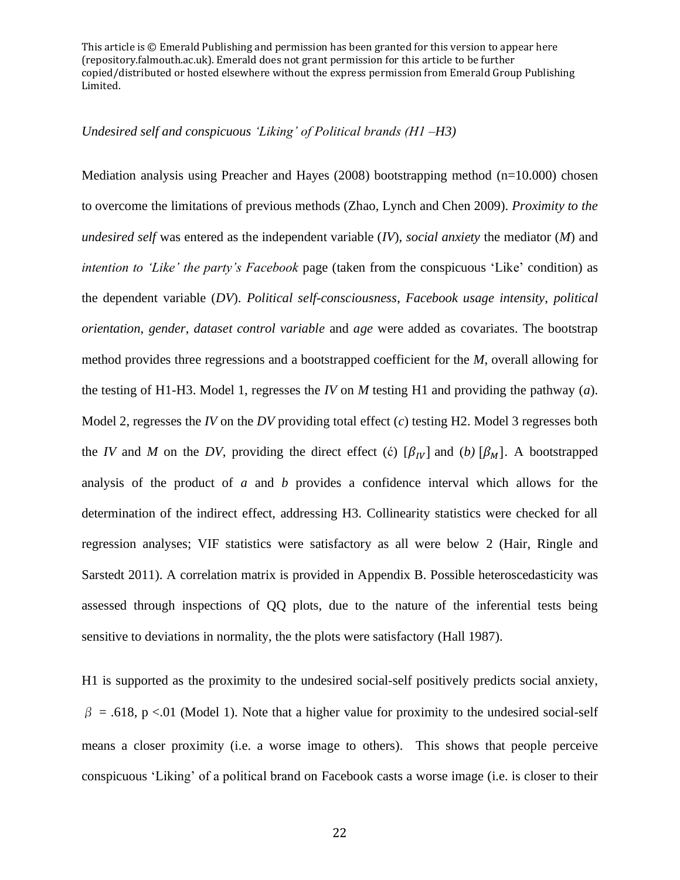#### *Undesired self and conspicuous 'Liking' of Political brands (H1 –H3)*

Mediation analysis using Preacher and Hayes  $(2008)$  bootstrapping method  $(n=10.000)$  chosen to overcome the limitations of previous methods (Zhao, Lynch and Chen 2009). *Proximity to the undesired self* was entered as the independent variable (*IV*), *social anxiety* the mediator (*M*) and *intention to 'Like' the party's Facebook* page (taken from the conspicuous 'Like' condition) as the dependent variable (*DV*). *Political self-consciousness*, *Facebook usage intensity*, *political orientation*, *gender*, *dataset control variable* and *age* were added as covariates. The bootstrap method provides three regressions and a bootstrapped coefficient for the *M*, overall allowing for the testing of H1-H3. Model 1, regresses the *IV* on *M* testing H1 and providing the pathway (*a*). Model 2, regresses the *IV* on the *DV* providing total effect (*c*) testing H2. Model 3 regresses both the *IV* and *M* on the *DV*, providing the direct effect (c)  $[\beta_{IV}]$  and (*b*)  $[\beta_{M}]$ . A bootstrapped analysis of the product of *a* and *b* provides a confidence interval which allows for the determination of the indirect effect, addressing H3. Collinearity statistics were checked for all regression analyses; VIF statistics were satisfactory as all were below 2 (Hair, Ringle and Sarstedt 2011). A correlation matrix is provided in Appendix B. Possible heteroscedasticity was assessed through inspections of QQ plots, due to the nature of the inferential tests being sensitive to deviations in normality, the the plots were satisfactory (Hall 1987).

H1 is supported as the proximity to the undesired social-self positively predicts social anxiety,  $\beta = .618$ , p <.01 (Model 1). Note that a higher value for proximity to the undesired social-self means a closer proximity (i.e. a worse image to others). This shows that people perceive conspicuous 'Liking' of a political brand on Facebook casts a worse image (i.e. is closer to their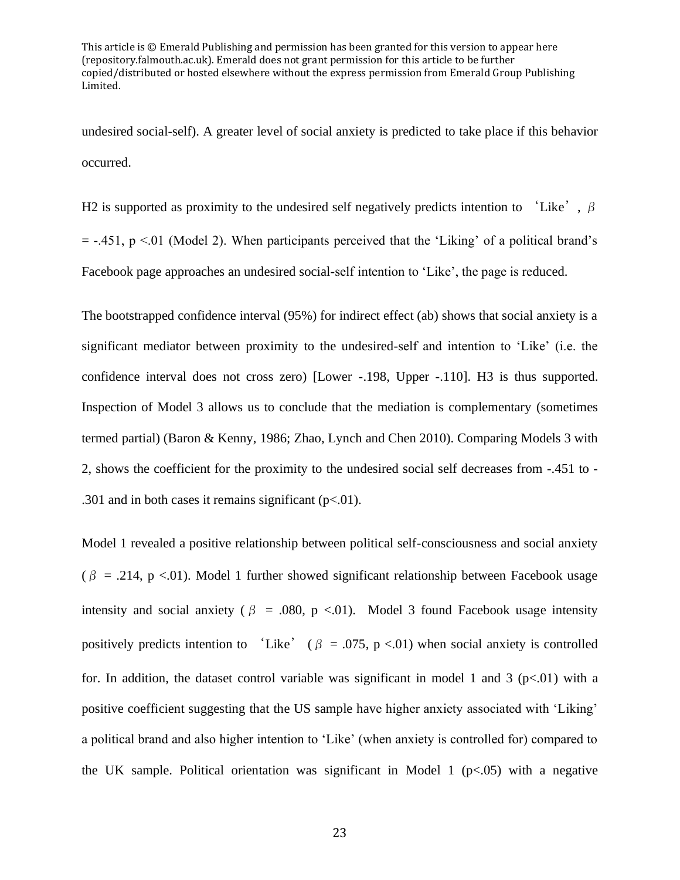undesired social-self). A greater level of social anxiety is predicted to take place if this behavior occurred.

H2 is supported as proximity to the undesired self negatively predicts intention to 'Like',  $\beta$  $=$  -.451, p <.01 (Model 2). When participants perceived that the 'Liking' of a political brand's Facebook page approaches an undesired social-self intention to 'Like', the page is reduced.

The bootstrapped confidence interval (95%) for indirect effect (ab) shows that social anxiety is a significant mediator between proximity to the undesired-self and intention to 'Like' (i.e. the confidence interval does not cross zero) [Lower -.198, Upper -.110]. H3 is thus supported. Inspection of Model 3 allows us to conclude that the mediation is complementary (sometimes termed partial) (Baron & Kenny, 1986; Zhao, Lynch and Chen 2010). Comparing Models 3 with 2, shows the coefficient for the proximity to the undesired social self decreases from -.451 to - .301 and in both cases it remains significant  $(p<.01)$ .

Model 1 revealed a positive relationship between political self-consciousness and social anxiety  $(\beta = .214, p < .01)$ . Model 1 further showed significant relationship between Facebook usage intensity and social anxiety ( $\beta$  = .080, p <.01). Model 3 found Facebook usage intensity positively predicts intention to 'Like' ( $\beta$  = .075, p <.01) when social anxiety is controlled for. In addition, the dataset control variable was significant in model 1 and 3 ( $p<.01$ ) with a positive coefficient suggesting that the US sample have higher anxiety associated with 'Liking' a political brand and also higher intention to 'Like' (when anxiety is controlled for) compared to the UK sample. Political orientation was significant in Model 1 ( $p<0.05$ ) with a negative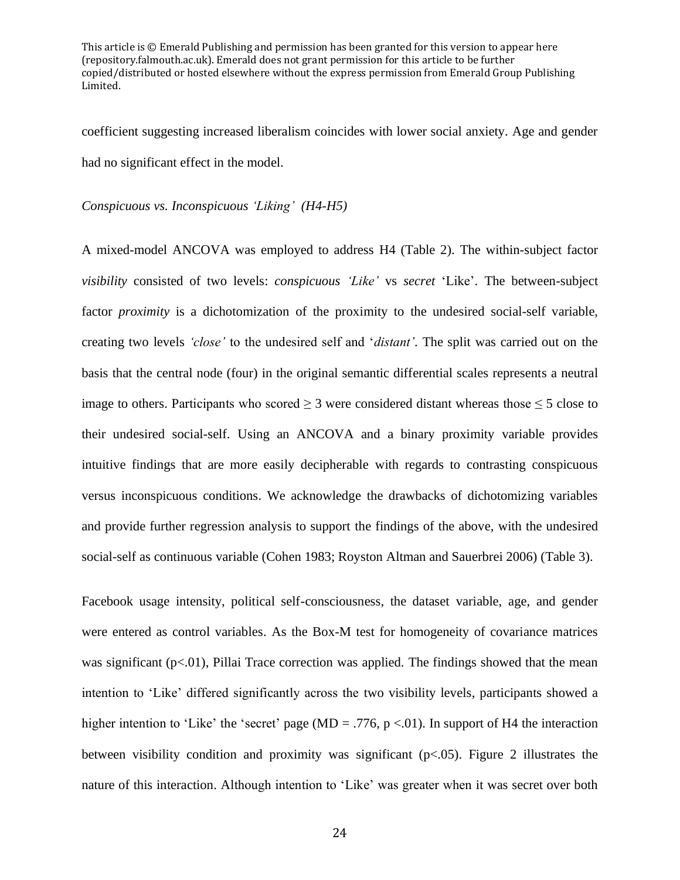coefficient suggesting increased liberalism coincides with lower social anxiety. Age and gender had no significant effect in the model.

#### *Conspicuous vs. Inconspicuous 'Liking' (H4-H5)*

A mixed-model ANCOVA was employed to address H4 (Table 2). The within-subject factor *visibility* consisted of two levels: *conspicuous 'Like'* vs *secret* 'Like'. The between-subject factor *proximity* is a dichotomization of the proximity to the undesired social-self variable, creating two levels *'close'* to the undesired self and '*distant'*. The split was carried out on the basis that the central node (four) in the original semantic differential scales represents a neutral image to others. Participants who scored  $\geq 3$  were considered distant whereas those  $\leq 5$  close to their undesired social-self. Using an ANCOVA and a binary proximity variable provides intuitive findings that are more easily decipherable with regards to contrasting conspicuous versus inconspicuous conditions. We acknowledge the drawbacks of dichotomizing variables and provide further regression analysis to support the findings of the above, with the undesired social-self as continuous variable (Cohen 1983; Royston Altman and Sauerbrei 2006) (Table 3).

Facebook usage intensity, political self-consciousness, the dataset variable, age, and gender were entered as control variables. As the Box-M test for homogeneity of covariance matrices was significant  $(p<0.01)$ , Pillai Trace correction was applied. The findings showed that the mean intention to 'Like' differed significantly across the two visibility levels, participants showed a higher intention to 'Like' the 'secret' page (MD = .776, p <.01). In support of H4 the interaction between visibility condition and proximity was significant ( $p < .05$ ). Figure 2 illustrates the nature of this interaction. Although intention to 'Like' was greater when it was secret over both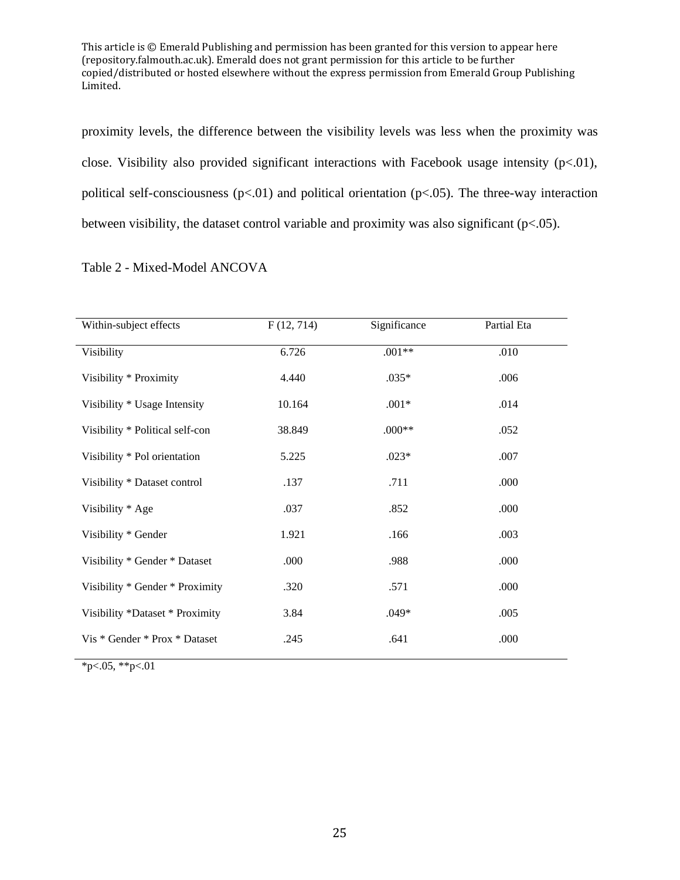proximity levels, the difference between the visibility levels was less when the proximity was close. Visibility also provided significant interactions with Facebook usage intensity  $(p<.01)$ , political self-consciousness ( $p<0.01$ ) and political orientation ( $p<0.05$ ). The three-way interaction between visibility, the dataset control variable and proximity was also significant (p<.05).

| Within-subject effects          | F(12, 714) | Significance | Partial Eta |
|---------------------------------|------------|--------------|-------------|
| Visibility                      | 6.726      | $.001**$     | .010        |
| Visibility * Proximity          | 4.440      | $.035*$      | .006        |
| Visibility * Usage Intensity    | 10.164     | $.001*$      | .014        |
| Visibility * Political self-con | 38.849     | $.000**$     | .052        |
| Visibility * Pol orientation    | 5.225      | $.023*$      | .007        |
| Visibility * Dataset control    | .137       | .711         | .000        |
| Visibility * Age                | .037       | .852         | .000        |
| Visibility * Gender             | 1.921      | .166         | .003        |
| Visibility * Gender * Dataset   | .000       | .988         | .000        |
| Visibility * Gender * Proximity | .320       | .571         | .000        |
| Visibility *Dataset * Proximity | 3.84       | $.049*$      | .005        |
| Vis * Gender * Prox * Dataset   | .245       | .641         | .000        |

 $*p<.05, **p<.01$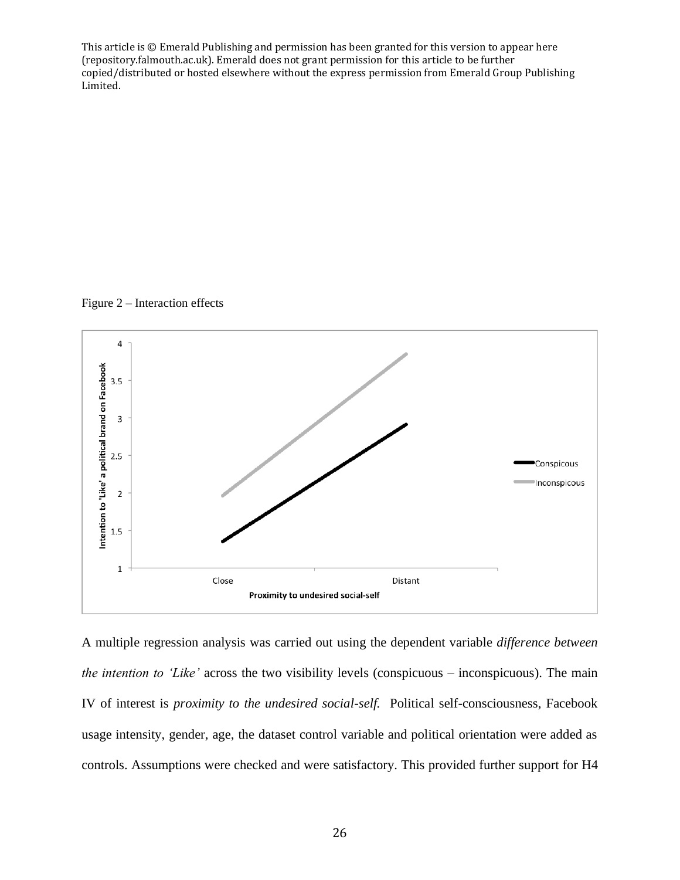Figure 2 – Interaction effects



A multiple regression analysis was carried out using the dependent variable *difference between the intention to 'Like'* across the two visibility levels (conspicuous – inconspicuous). The main IV of interest is *proximity to the undesired social-self.* Political self-consciousness, Facebook usage intensity, gender, age, the dataset control variable and political orientation were added as controls. Assumptions were checked and were satisfactory. This provided further support for H4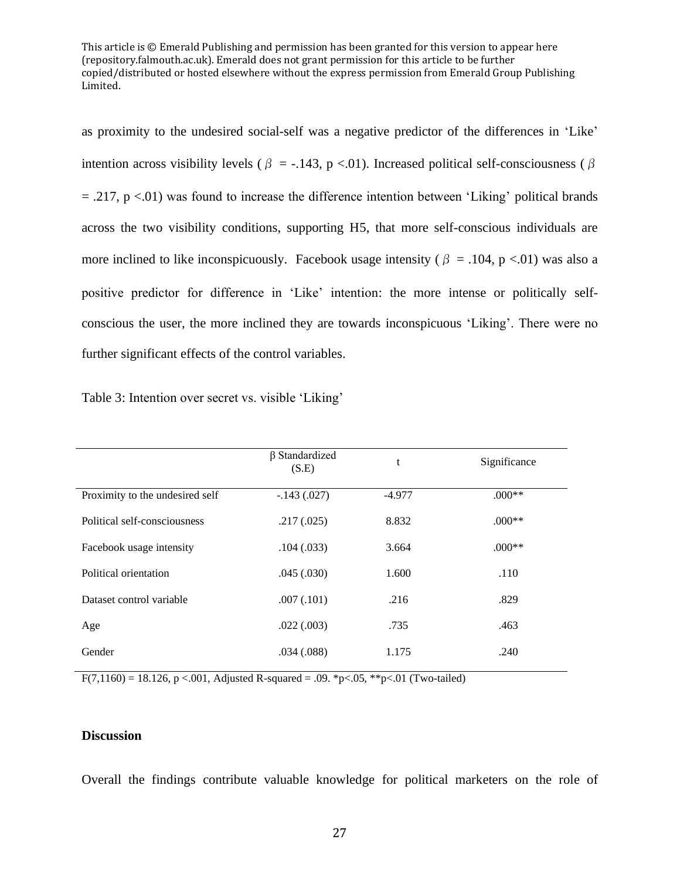as proximity to the undesired social-self was a negative predictor of the differences in 'Like' intention across visibility levels ( $\beta$  = -.143, p <.01). Increased political self-consciousness ( $\beta$  $= .217$ , p  $< .01$ ) was found to increase the difference intention between 'Liking' political brands across the two visibility conditions, supporting H5, that more self-conscious individuals are more inclined to like inconspicuously. Facebook usage intensity ( $\beta$  = .104, p <.01) was also a positive predictor for difference in 'Like' intention: the more intense or politically selfconscious the user, the more inclined they are towards inconspicuous 'Liking'. There were no further significant effects of the control variables.

|                                 | $\beta$ Standardized<br>(S.E) | t      | Significance |
|---------------------------------|-------------------------------|--------|--------------|
| Proximity to the undesired self | $-.143(.027)$                 | -4.977 | $.000**$     |
| Political self-consciousness    | .217(.025)                    | 8.832  | $.000**$     |
| Facebook usage intensity        | .104(.033)                    | 3.664  | $.000**$     |
| Political orientation           | .045(.030)                    | 1.600  | .110         |
| Dataset control variable        | .007(.101)                    | .216   | .829         |
| Age                             | .022(.003)                    | .735   | .463         |
| Gender                          | .034(.088)                    | 1.175  | .240         |

Table 3: Intention over secret vs. visible 'Liking'

 $F(7,1160) = 18.126$ , p <.001, Adjusted R-squared = .09. \*p<.05, \*\*p<.01 (Two-tailed)

## **Discussion**

Overall the findings contribute valuable knowledge for political marketers on the role of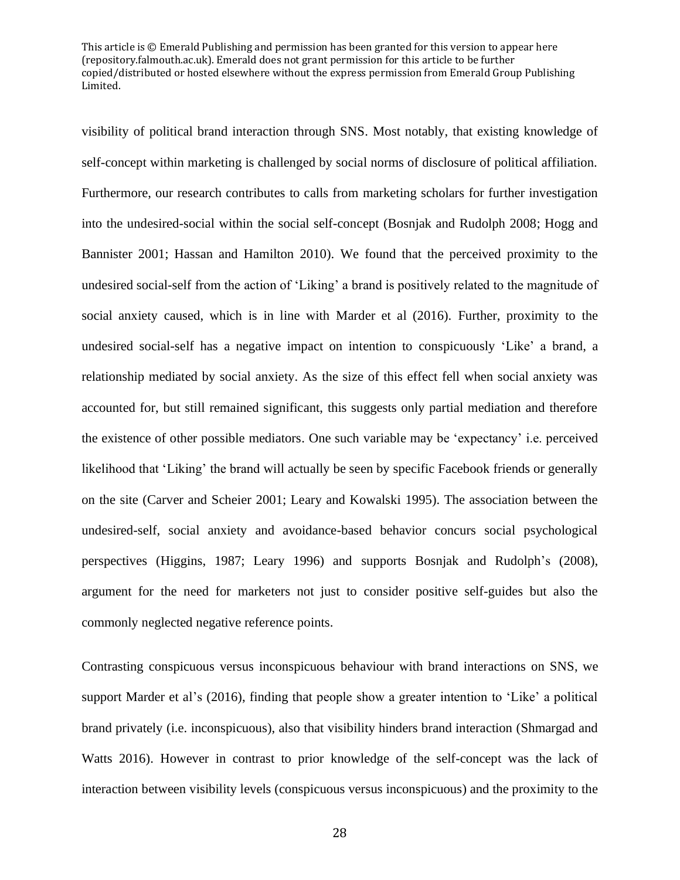visibility of political brand interaction through SNS. Most notably, that existing knowledge of self-concept within marketing is challenged by social norms of disclosure of political affiliation. Furthermore, our research contributes to calls from marketing scholars for further investigation into the undesired-social within the social self-concept (Bosnjak and Rudolph 2008; Hogg and Bannister 2001; Hassan and Hamilton 2010). We found that the perceived proximity to the undesired social-self from the action of 'Liking' a brand is positively related to the magnitude of social anxiety caused, which is in line with Marder et al (2016). Further, proximity to the undesired social-self has a negative impact on intention to conspicuously 'Like' a brand, a relationship mediated by social anxiety. As the size of this effect fell when social anxiety was accounted for, but still remained significant, this suggests only partial mediation and therefore the existence of other possible mediators. One such variable may be 'expectancy' i.e. perceived likelihood that 'Liking' the brand will actually be seen by specific Facebook friends or generally on the site (Carver and Scheier 2001; Leary and Kowalski 1995). The association between the undesired-self, social anxiety and avoidance-based behavior concurs social psychological perspectives (Higgins, 1987; Leary 1996) and supports Bosnjak and Rudolph's (2008), argument for the need for marketers not just to consider positive self-guides but also the commonly neglected negative reference points.

Contrasting conspicuous versus inconspicuous behaviour with brand interactions on SNS, we support Marder et al's (2016), finding that people show a greater intention to 'Like' a political brand privately (i.e. inconspicuous), also that visibility hinders brand interaction (Shmargad and Watts 2016). However in contrast to prior knowledge of the self-concept was the lack of interaction between visibility levels (conspicuous versus inconspicuous) and the proximity to the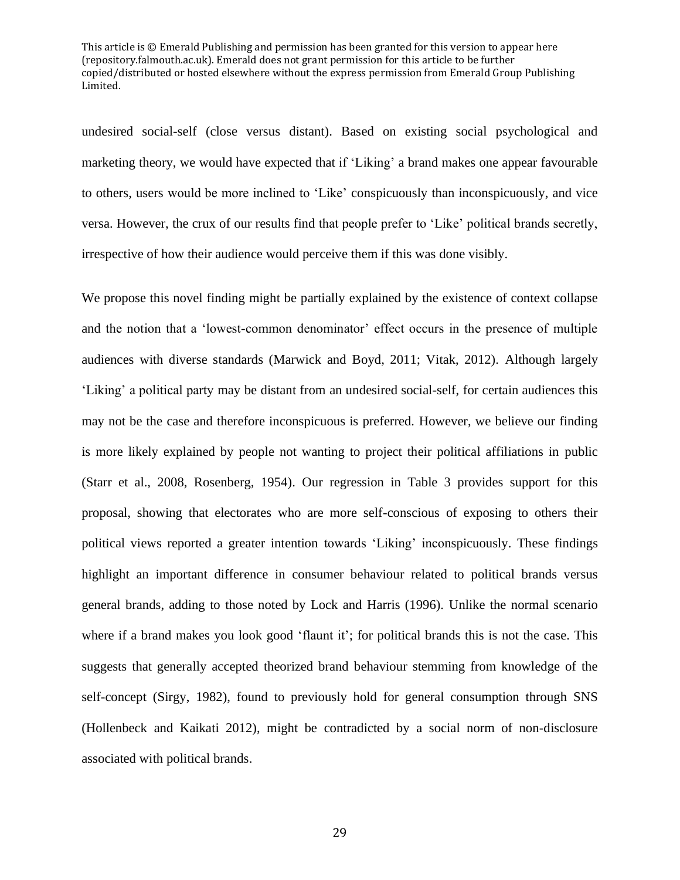undesired social-self (close versus distant). Based on existing social psychological and marketing theory, we would have expected that if 'Liking' a brand makes one appear favourable to others, users would be more inclined to 'Like' conspicuously than inconspicuously, and vice versa. However, the crux of our results find that people prefer to 'Like' political brands secretly, irrespective of how their audience would perceive them if this was done visibly.

We propose this novel finding might be partially explained by the existence of context collapse and the notion that a 'lowest-common denominator' effect occurs in the presence of multiple audiences with diverse standards (Marwick and Boyd, 2011; Vitak, 2012). Although largely 'Liking' a political party may be distant from an undesired social-self, for certain audiences this may not be the case and therefore inconspicuous is preferred*.* However, we believe our finding is more likely explained by people not wanting to project their political affiliations in public (Starr et al., 2008, Rosenberg, 1954). Our regression in Table 3 provides support for this proposal, showing that electorates who are more self-conscious of exposing to others their political views reported a greater intention towards 'Liking' inconspicuously. These findings highlight an important difference in consumer behaviour related to political brands versus general brands, adding to those noted by Lock and Harris (1996). Unlike the normal scenario where if a brand makes you look good 'flaunt it'; for political brands this is not the case. This suggests that generally accepted theorized brand behaviour stemming from knowledge of the self-concept (Sirgy, 1982), found to previously hold for general consumption through SNS (Hollenbeck and Kaikati 2012), might be contradicted by a social norm of non-disclosure associated with political brands.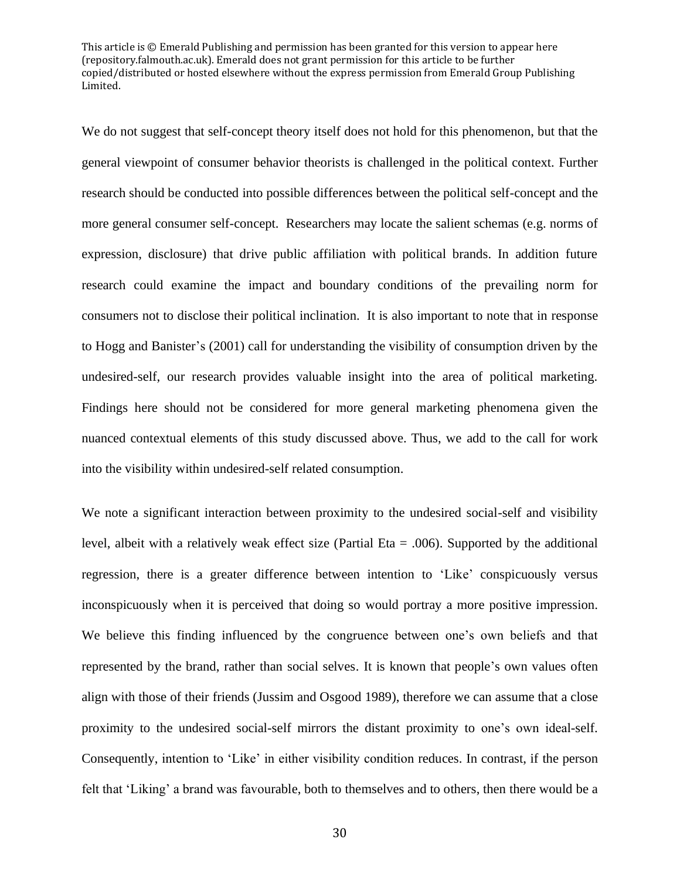We do not suggest that self-concept theory itself does not hold for this phenomenon, but that the general viewpoint of consumer behavior theorists is challenged in the political context. Further research should be conducted into possible differences between the political self-concept and the more general consumer self-concept. Researchers may locate the salient schemas (e.g. norms of expression, disclosure) that drive public affiliation with political brands. In addition future research could examine the impact and boundary conditions of the prevailing norm for consumers not to disclose their political inclination. It is also important to note that in response to Hogg and Banister's (2001) call for understanding the visibility of consumption driven by the undesired-self, our research provides valuable insight into the area of political marketing. Findings here should not be considered for more general marketing phenomena given the nuanced contextual elements of this study discussed above. Thus, we add to the call for work into the visibility within undesired-self related consumption.

We note a significant interaction between proximity to the undesired social-self and visibility level, albeit with a relatively weak effect size (Partial Eta = .006). Supported by the additional regression, there is a greater difference between intention to 'Like' conspicuously versus inconspicuously when it is perceived that doing so would portray a more positive impression. We believe this finding influenced by the congruence between one's own beliefs and that represented by the brand, rather than social selves. It is known that people's own values often align with those of their friends (Jussim and Osgood 1989), therefore we can assume that a close proximity to the undesired social-self mirrors the distant proximity to one's own ideal-self. Consequently, intention to 'Like' in either visibility condition reduces. In contrast, if the person felt that 'Liking' a brand was favourable, both to themselves and to others, then there would be a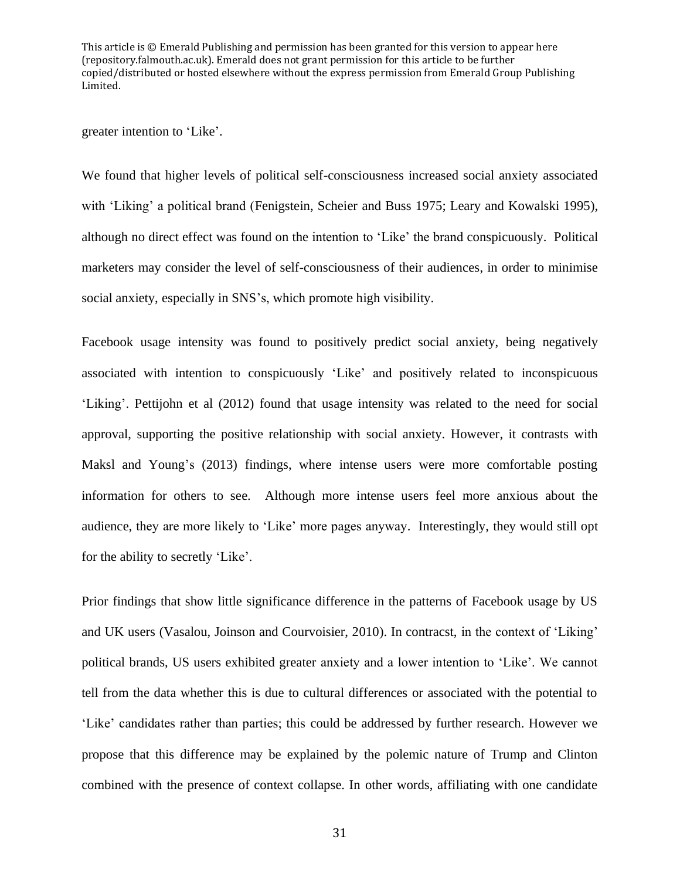greater intention to 'Like'.

We found that higher levels of political self-consciousness increased social anxiety associated with 'Liking' a political brand (Fenigstein, Scheier and Buss 1975; Leary and Kowalski 1995), although no direct effect was found on the intention to 'Like' the brand conspicuously. Political marketers may consider the level of self-consciousness of their audiences, in order to minimise social anxiety, especially in SNS's, which promote high visibility.

Facebook usage intensity was found to positively predict social anxiety, being negatively associated with intention to conspicuously 'Like' and positively related to inconspicuous 'Liking'. Pettijohn et al (2012) found that usage intensity was related to the need for social approval, supporting the positive relationship with social anxiety. However, it contrasts with Maksl and Young's (2013) findings, where intense users were more comfortable posting information for others to see. Although more intense users feel more anxious about the audience, they are more likely to 'Like' more pages anyway. Interestingly, they would still opt for the ability to secretly 'Like'.

Prior findings that show little significance difference in the patterns of Facebook usage by US and UK users (Vasalou, Joinson and Courvoisier, 2010). In contracst, in the context of 'Liking' political brands, US users exhibited greater anxiety and a lower intention to 'Like'. We cannot tell from the data whether this is due to cultural differences or associated with the potential to 'Like' candidates rather than parties; this could be addressed by further research. However we propose that this difference may be explained by the polemic nature of Trump and Clinton combined with the presence of context collapse. In other words, affiliating with one candidate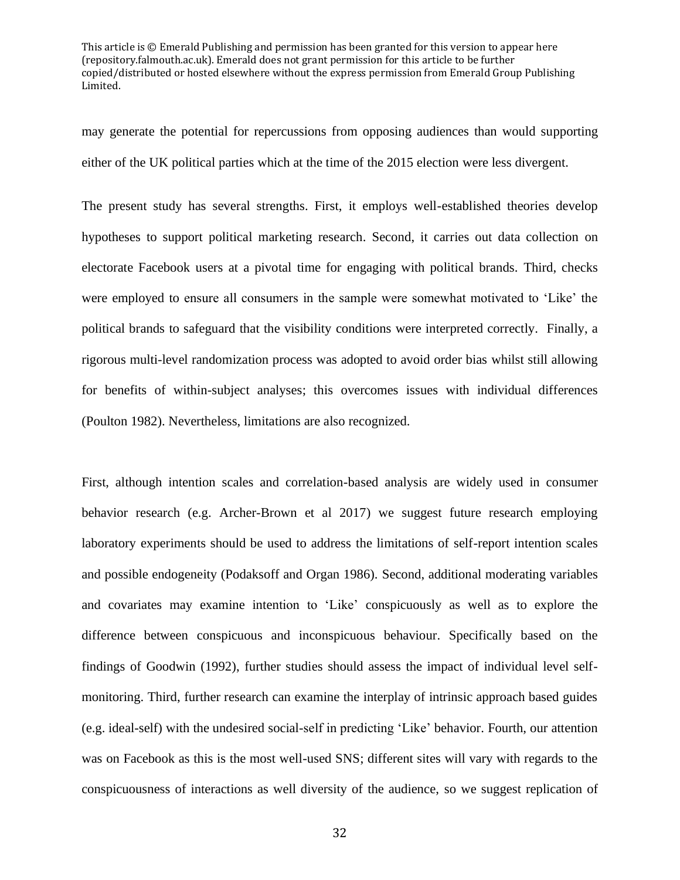may generate the potential for repercussions from opposing audiences than would supporting either of the UK political parties which at the time of the 2015 election were less divergent.

The present study has several strengths. First, it employs well-established theories develop hypotheses to support political marketing research. Second, it carries out data collection on electorate Facebook users at a pivotal time for engaging with political brands. Third, checks were employed to ensure all consumers in the sample were somewhat motivated to 'Like' the political brands to safeguard that the visibility conditions were interpreted correctly. Finally, a rigorous multi-level randomization process was adopted to avoid order bias whilst still allowing for benefits of within-subject analyses; this overcomes issues with individual differences (Poulton 1982). Nevertheless, limitations are also recognized.

First, although intention scales and correlation-based analysis are widely used in consumer behavior research (e.g. Archer-Brown et al 2017) we suggest future research employing laboratory experiments should be used to address the limitations of self-report intention scales and possible endogeneity (Podaksoff and Organ 1986). Second, additional moderating variables and covariates may examine intention to 'Like' conspicuously as well as to explore the difference between conspicuous and inconspicuous behaviour. Specifically based on the findings of Goodwin (1992), further studies should assess the impact of individual level selfmonitoring. Third, further research can examine the interplay of intrinsic approach based guides (e.g. ideal-self) with the undesired social-self in predicting 'Like' behavior. Fourth, our attention was on Facebook as this is the most well-used SNS; different sites will vary with regards to the conspicuousness of interactions as well diversity of the audience, so we suggest replication of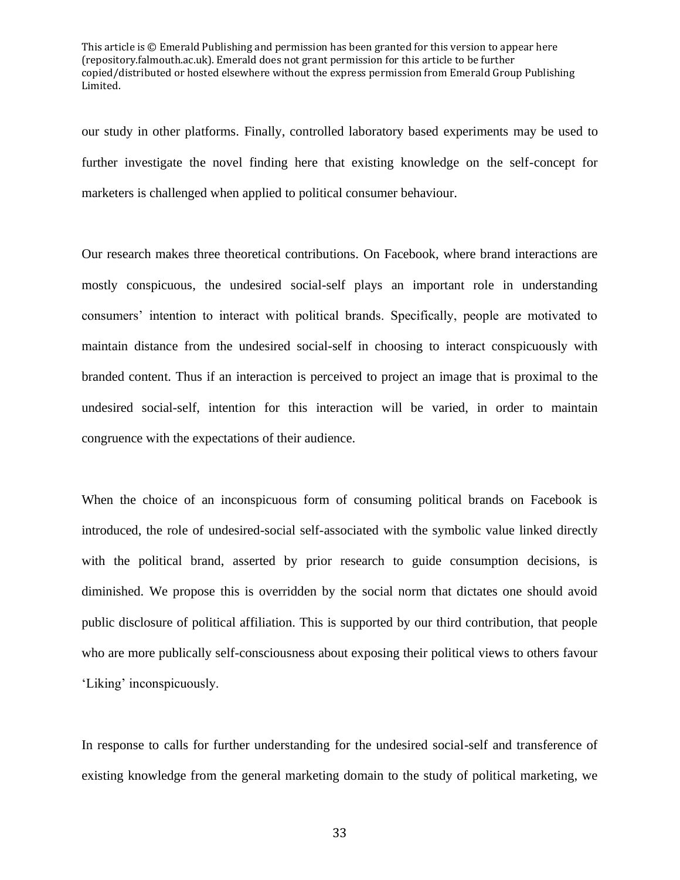our study in other platforms. Finally, controlled laboratory based experiments may be used to further investigate the novel finding here that existing knowledge on the self-concept for marketers is challenged when applied to political consumer behaviour.

Our research makes three theoretical contributions. On Facebook, where brand interactions are mostly conspicuous, the undesired social-self plays an important role in understanding consumers' intention to interact with political brands. Specifically, people are motivated to maintain distance from the undesired social-self in choosing to interact conspicuously with branded content. Thus if an interaction is perceived to project an image that is proximal to the undesired social-self, intention for this interaction will be varied, in order to maintain congruence with the expectations of their audience.

When the choice of an inconspicuous form of consuming political brands on Facebook is introduced, the role of undesired-social self-associated with the symbolic value linked directly with the political brand, asserted by prior research to guide consumption decisions, is diminished. We propose this is overridden by the social norm that dictates one should avoid public disclosure of political affiliation. This is supported by our third contribution, that people who are more publically self-consciousness about exposing their political views to others favour 'Liking' inconspicuously.

In response to calls for further understanding for the undesired social-self and transference of existing knowledge from the general marketing domain to the study of political marketing, we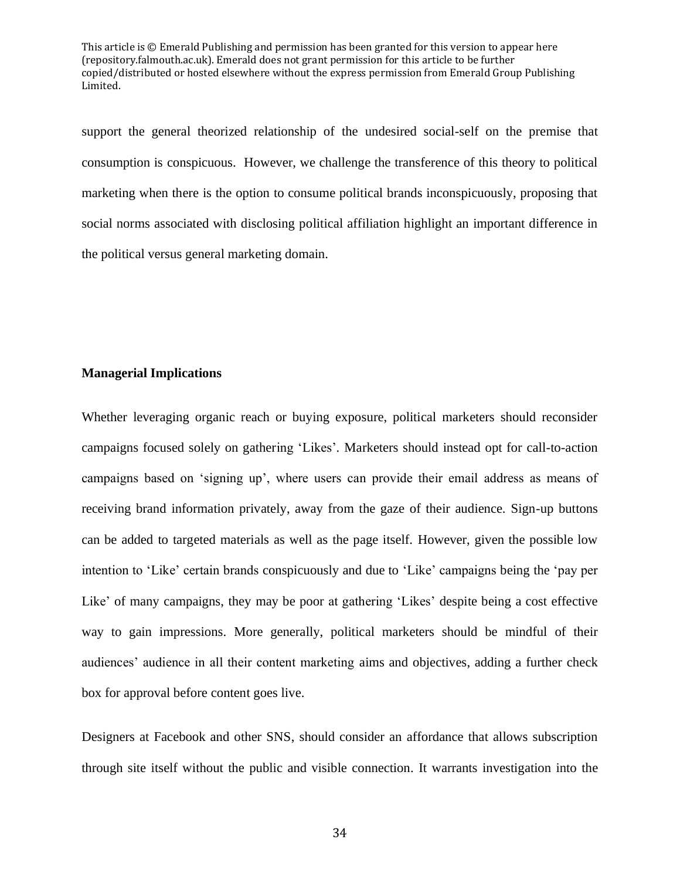support the general theorized relationship of the undesired social-self on the premise that consumption is conspicuous. However, we challenge the transference of this theory to political marketing when there is the option to consume political brands inconspicuously, proposing that social norms associated with disclosing political affiliation highlight an important difference in the political versus general marketing domain.

#### **Managerial Implications**

Whether leveraging organic reach or buying exposure, political marketers should reconsider campaigns focused solely on gathering 'Likes'*.* Marketers should instead opt for call-to-action campaigns based on 'signing up', where users can provide their email address as means of receiving brand information privately, away from the gaze of their audience. Sign-up buttons can be added to targeted materials as well as the page itself. However, given the possible low intention to 'Like' certain brands conspicuously and due to 'Like' campaigns being the 'pay per Like' of many campaigns, they may be poor at gathering 'Likes' despite being a cost effective way to gain impressions. More generally, political marketers should be mindful of their audiences' audience in all their content marketing aims and objectives, adding a further check box for approval before content goes live.

Designers at Facebook and other SNS, should consider an affordance that allows subscription through site itself without the public and visible connection. It warrants investigation into the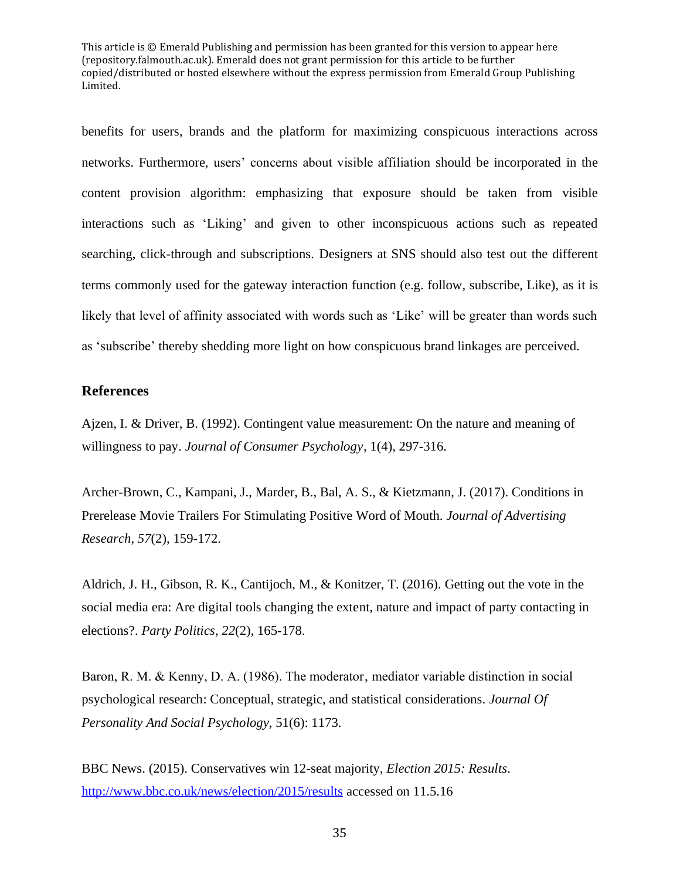benefits for users, brands and the platform for maximizing conspicuous interactions across networks. Furthermore, users' concerns about visible affiliation should be incorporated in the content provision algorithm: emphasizing that exposure should be taken from visible interactions such as 'Liking' and given to other inconspicuous actions such as repeated searching, click-through and subscriptions. Designers at SNS should also test out the different terms commonly used for the gateway interaction function (e.g. follow, subscribe, Like), as it is likely that level of affinity associated with words such as 'Like' will be greater than words such as 'subscribe' thereby shedding more light on how conspicuous brand linkages are perceived.

## **References**

Ajzen, I. & Driver, B. (1992). Contingent value measurement: On the nature and meaning of willingness to pay. *Journal of Consumer Psychology,* 1(4), 297-316.

Archer-Brown, C., Kampani, J., Marder, B., Bal, A. S., & Kietzmann, J. (2017). Conditions in Prerelease Movie Trailers For Stimulating Positive Word of Mouth. *Journal of Advertising Research*, *57*(2), 159-172.

Aldrich, J. H., Gibson, R. K., Cantijoch, M., & Konitzer, T. (2016). Getting out the vote in the social media era: Are digital tools changing the extent, nature and impact of party contacting in elections?. *Party Politics*, *22*(2), 165-178.

Baron, R. M. & Kenny, D. A.  $(1986)$ . The moderator, mediator variable distinction in social psychological research: Conceptual, strategic, and statistical considerations. *Journal Of Personality And Social Psychology*, 51(6): 1173.

BBC News. (2015). Conservatives win 12-seat majority, *Election 2015: Results*. <http://www.bbc.co.uk/news/election/2015/results> accessed on 11.5.16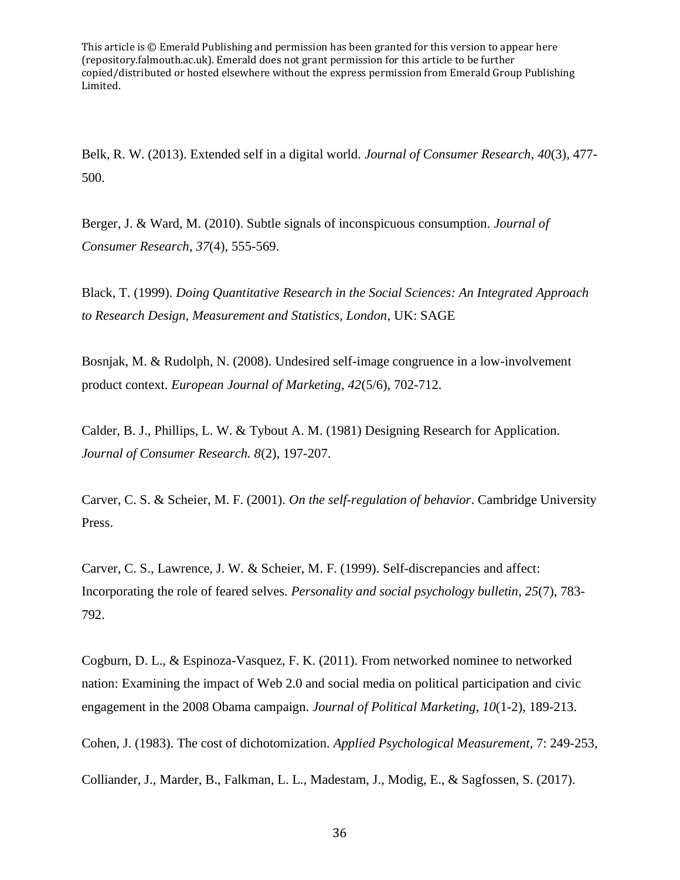Belk, R. W. (2013). Extended self in a digital world. *Journal of Consumer Research*, *40*(3), 477- 500.

Berger, J. & Ward, M. (2010). Subtle signals of inconspicuous consumption. *Journal of Consumer Research*, *37*(4), 555-569.

Black, T. (1999). *Doing Quantitative Research in the Social Sciences: An Integrated Approach to Research Design, Measurement and Statistics, London*, UK: SAGE

Bosnjak, M. & Rudolph, N. (2008). Undesired self-image congruence in a low-involvement product context. *European Journal of Marketing*, *42*(5/6), 702-712.

Calder, B. J., Phillips, L. W. & Tybout A. M. (1981) Designing Research for Application. *Journal of Consumer Research. 8*(2), 197-207.

Carver, C. S. & Scheier, M. F. (2001). *On the self-regulation of behavior*. Cambridge University Press.

Carver, C. S., Lawrence, J. W. & Scheier, M. F. (1999). Self-discrepancies and affect: Incorporating the role of feared selves. *Personality and social psychology bulletin*, *25*(7), 783- 792.

Cogburn, D. L., & Espinoza-Vasquez, F. K. (2011). From networked nominee to networked nation: Examining the impact of Web 2.0 and social media on political participation and civic engagement in the 2008 Obama campaign. *Journal of Political Marketing*, *10*(1-2), 189-213.

Cohen, J. (1983). The cost of dichotomization*. Applied Psychological Measurement*, 7: 249-253,

Colliander, J., Marder, B., Falkman, L. L., Madestam, J., Modig, E., & Sagfossen, S. (2017).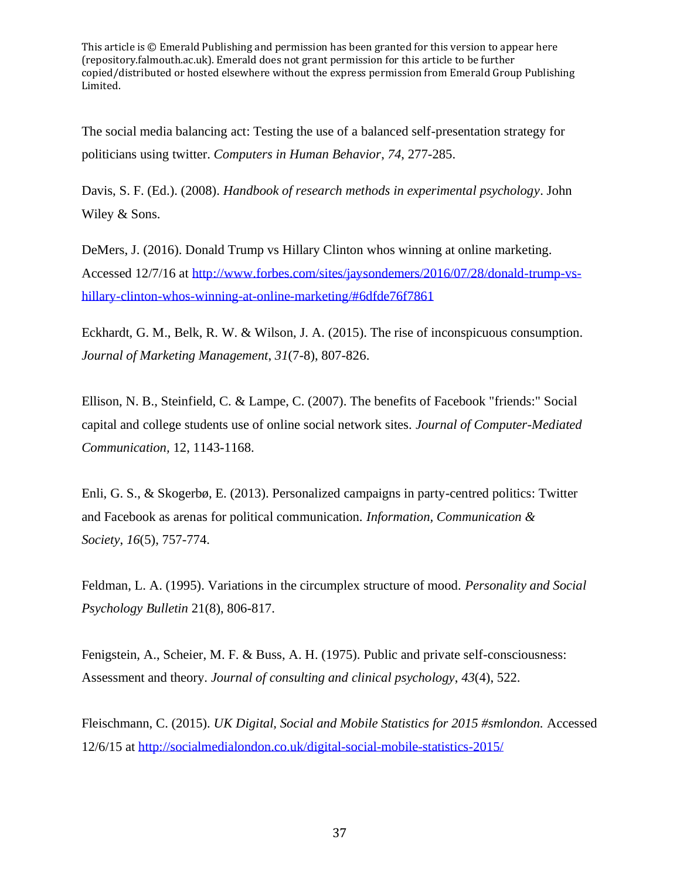The social media balancing act: Testing the use of a balanced self-presentation strategy for politicians using twitter. *Computers in Human Behavior*, *74*, 277-285.

Davis, S. F. (Ed.). (2008). *Handbook of research methods in experimental psychology*. John Wiley & Sons.

DeMers, J. (2016). Donald Trump vs Hillary Clinton whos winning at online marketing. Accessed 12/7/16 at [http://www.forbes.com/sites/jaysondemers/2016/07/28/donald-trump-vs](http://www.forbes.com/sites/jaysondemers/2016/07/28/donald-trump-vs-hillary-clinton-whos-winning-at-online-marketing/#6dfde76f7861)[hillary-clinton-whos-winning-at-online-marketing/#6dfde76f7861](http://www.forbes.com/sites/jaysondemers/2016/07/28/donald-trump-vs-hillary-clinton-whos-winning-at-online-marketing/#6dfde76f7861)

Eckhardt, G. M., Belk, R. W. & Wilson, J. A. (2015). The rise of inconspicuous consumption. *Journal of Marketing Management*, *31*(7-8), 807-826.

Ellison, N. B., Steinfield, C. & Lampe, C. (2007). The benefits of Facebook "friends:" Social capital and college students use of online social network sites. *Journal of Computer-Mediated Communication,* 12, 1143-1168.

Enli, G. S., & Skogerbø, E. (2013). Personalized campaigns in party-centred politics: Twitter and Facebook as arenas for political communication. *Information, Communication & Society*, *16*(5), 757-774.

Feldman, L. A. (1995). Variations in the circumplex structure of mood. *Personality and Social Psychology Bulletin* 21(8), 806-817.

Fenigstein, A., Scheier, M. F. & Buss, A. H. (1975). Public and private self-consciousness: Assessment and theory. *Journal of consulting and clinical psychology*, *43*(4), 522.

Fleischmann, C. (2015). *UK Digital, Social and Mobile Statistics for 2015 #smlondon.* Accessed 12/6/15 at<http://socialmedialondon.co.uk/digital-social-mobile-statistics-2015/>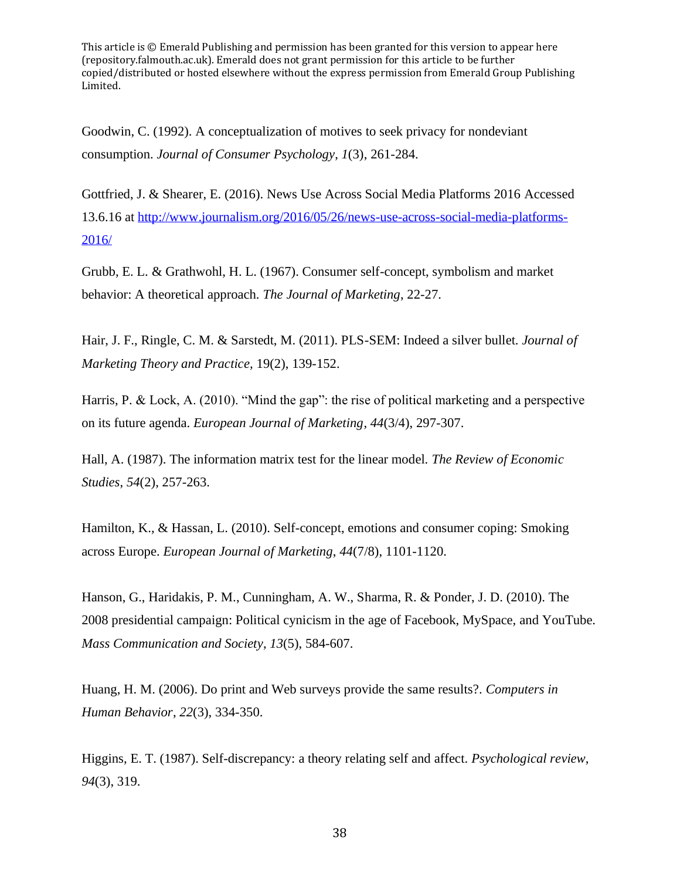Goodwin, C. (1992). A conceptualization of motives to seek privacy for nondeviant consumption. *Journal of Consumer Psychology*, *1*(3), 261-284.

Gottfried, J. & Shearer, E. (2016). News Use Across Social Media Platforms 2016 Accessed 13.6.16 at [http://www.journalism.org/2016/05/26/news-use-across-social-media-platforms-](http://www.journalism.org/2016/05/26/news-use-across-social-media-platforms-2016/)[2016/](http://www.journalism.org/2016/05/26/news-use-across-social-media-platforms-2016/)

Grubb, E. L. & Grathwohl, H. L. (1967). Consumer self-concept, symbolism and market behavior: A theoretical approach. *The Journal of Marketing*, 22-27.

Hair, J. F., Ringle, C. M. & Sarstedt, M. (2011). PLS-SEM: Indeed a silver bullet. *Journal of Marketing Theory and Practice,* 19(2), 139-152.

Harris, P. & Lock, A. (2010). "Mind the gap": the rise of political marketing and a perspective on its future agenda. *European Journal of Marketing*, *44*(3/4), 297-307.

Hall, A. (1987). The information matrix test for the linear model. *The Review of Economic Studies*, *54*(2), 257-263.

Hamilton, K., & Hassan, L. (2010). Self-concept, emotions and consumer coping: Smoking across Europe. *European Journal of Marketing*, *44*(7/8), 1101-1120.

Hanson, G., Haridakis, P. M., Cunningham, A. W., Sharma, R. & Ponder, J. D. (2010). The 2008 presidential campaign: Political cynicism in the age of Facebook, MySpace, and YouTube. *Mass Communication and Society*, *13*(5), 584-607.

Huang, H. M. (2006). Do print and Web surveys provide the same results?. *Computers in Human Behavior*, *22*(3), 334-350.

Higgins, E. T. (1987). Self-discrepancy: a theory relating self and affect. *Psychological review*, *94*(3), 319.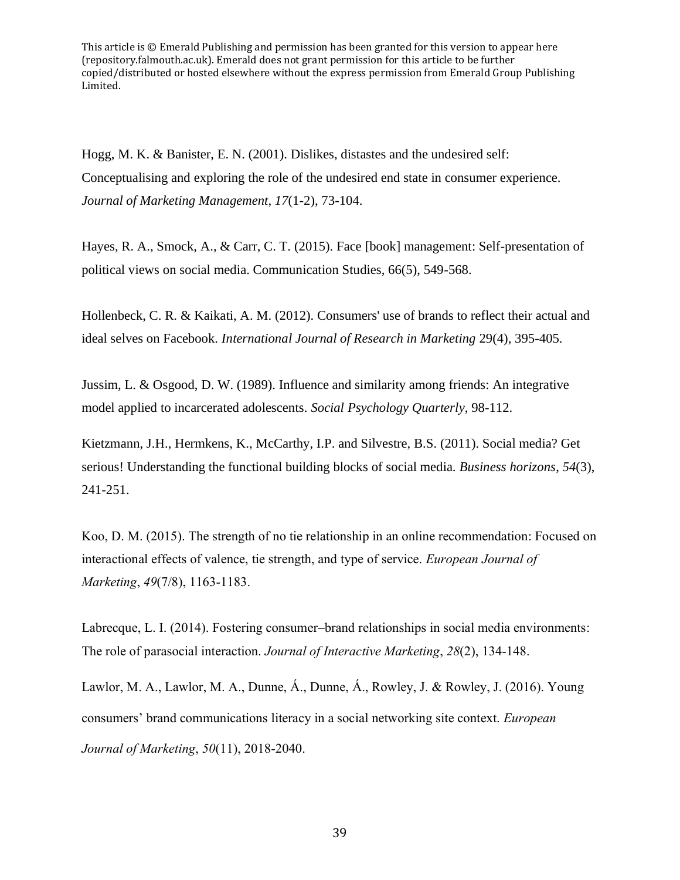Hogg, M. K. & Banister, E. N. (2001). Dislikes, distastes and the undesired self: Conceptualising and exploring the role of the undesired end state in consumer experience. *Journal of Marketing Management*, *17*(1-2), 73-104.

Hayes, R. A., Smock, A., & Carr, C. T. (2015). Face [book] management: Self-presentation of political views on social media. Communication Studies, 66(5), 549-568.

Hollenbeck, C. R. & Kaikati, A. M. (2012). Consumers' use of brands to reflect their actual and ideal selves on Facebook. *International Journal of Research in Marketing* 29(4), 395-405.

Jussim, L. & Osgood, D. W. (1989). Influence and similarity among friends: An integrative model applied to incarcerated adolescents. *Social Psychology Quarterly*, 98-112.

Kietzmann, J.H., Hermkens, K., McCarthy, I.P. and Silvestre, B.S. (2011). Social media? Get serious! Understanding the functional building blocks of social media. *Business horizons*, *54*(3), 241-251.

Koo, D. M. (2015). The strength of no tie relationship in an online recommendation: Focused on interactional effects of valence, tie strength, and type of service. *European Journal of Marketing*, *49*(7/8), 1163-1183.

Labrecque, L. I. (2014). Fostering consumer–brand relationships in social media environments: The role of parasocial interaction. *Journal of Interactive Marketing*, *28*(2), 134-148.

Lawlor, M. A., Lawlor, M. A., Dunne, Á., Dunne, Á., Rowley, J. & Rowley, J. (2016). Young consumers' brand communications literacy in a social networking site context. *European Journal of Marketing*, *50*(11), 2018-2040.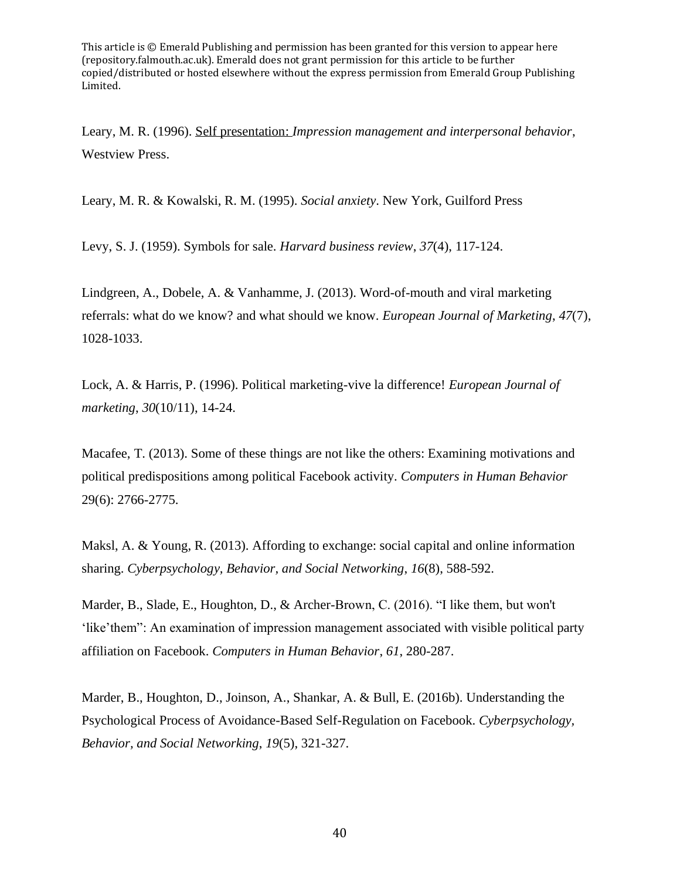Leary, M. R. (1996). Self presentation: *Impression management and interpersonal behavior*, Westview Press.

Leary, M. R. & Kowalski, R. M. (1995). *Social anxiety*. New York, Guilford Press

Levy, S. J. (1959). Symbols for sale. *Harvard business review*, *37*(4), 117-124.

Lindgreen, A., Dobele, A. & Vanhamme, J. (2013). Word-of-mouth and viral marketing referrals: what do we know? and what should we know. *European Journal of Marketing*, *47*(7), 1028-1033.

Lock, A. & Harris, P. (1996). Political marketing-vive la difference! *European Journal of marketing*, *30*(10/11), 14-24.

Macafee, T. (2013). Some of these things are not like the others: Examining motivations and political predispositions among political Facebook activity. *Computers in Human Behavior* 29(6): 2766-2775.

Maksl, A. & Young, R. (2013). Affording to exchange: social capital and online information sharing. *Cyberpsychology, Behavior, and Social Networking*, *16*(8), 588-592.

Marder, B., Slade, E., Houghton, D., & Archer-Brown, C. (2016). "I like them, but won't 'like'them": An examination of impression management associated with visible political party affiliation on Facebook. *Computers in Human Behavior*, *61*, 280-287.

Marder, B., Houghton, D., Joinson, A., Shankar, A. & Bull, E. (2016b). Understanding the Psychological Process of Avoidance-Based Self-Regulation on Facebook. *Cyberpsychology, Behavior, and Social Networking*, *19*(5), 321-327.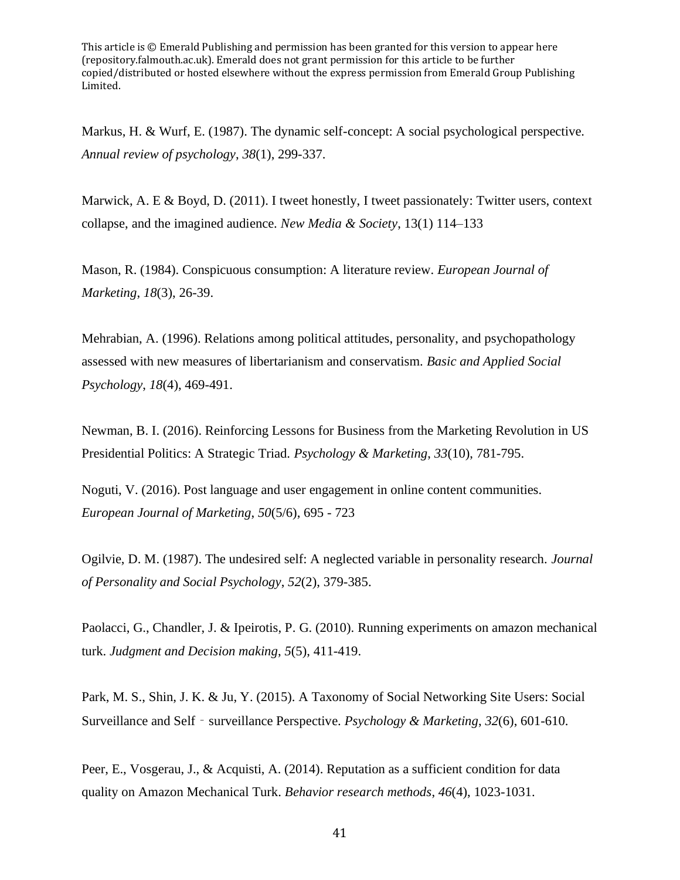Markus, H. & Wurf, E. (1987). The dynamic self-concept: A social psychological perspective. *Annual review of psychology*, *38*(1), 299-337.

Marwick, A. E & Boyd, D.  $(2011)$ . I tweet honestly, I tweet passionately: Twitter users, context collapse, and the imagined audience. *New Media & Society*, 13(1) 114–133

Mason, R. (1984). Conspicuous consumption: A literature review. *European Journal of Marketing*, *18*(3), 26-39.

Mehrabian, A. (1996). Relations among political attitudes, personality, and psychopathology assessed with new measures of libertarianism and conservatism. *Basic and Applied Social Psychology*, *18*(4), 469-491.

Newman, B. I. (2016). Reinforcing Lessons for Business from the Marketing Revolution in US Presidential Politics: A Strategic Triad. *Psychology & Marketing*, *33*(10), 781-795.

Noguti, V. (2016). Post language and user engagement in online content communities. *European Journal of Marketing*, *50*(5/6), 695 - 723

Ogilvie, D. M. (1987). The undesired self: A neglected variable in personality research. *Journal of Personality and Social Psychology*, *52*(2), 379-385.

Paolacci, G., Chandler, J. & Ipeirotis, P. G. (2010). Running experiments on amazon mechanical turk. *Judgment and Decision making*, *5*(5), 411-419.

Park, M. S., Shin, J. K. & Ju, Y. (2015). A Taxonomy of Social Networking Site Users: Social Surveillance and Self - surveillance Perspective. *Psychology & Marketing*, 32(6), 601-610.

Peer, E., Vosgerau, J., & Acquisti, A. (2014). Reputation as a sufficient condition for data quality on Amazon Mechanical Turk. *Behavior research methods*, *46*(4), 1023-1031.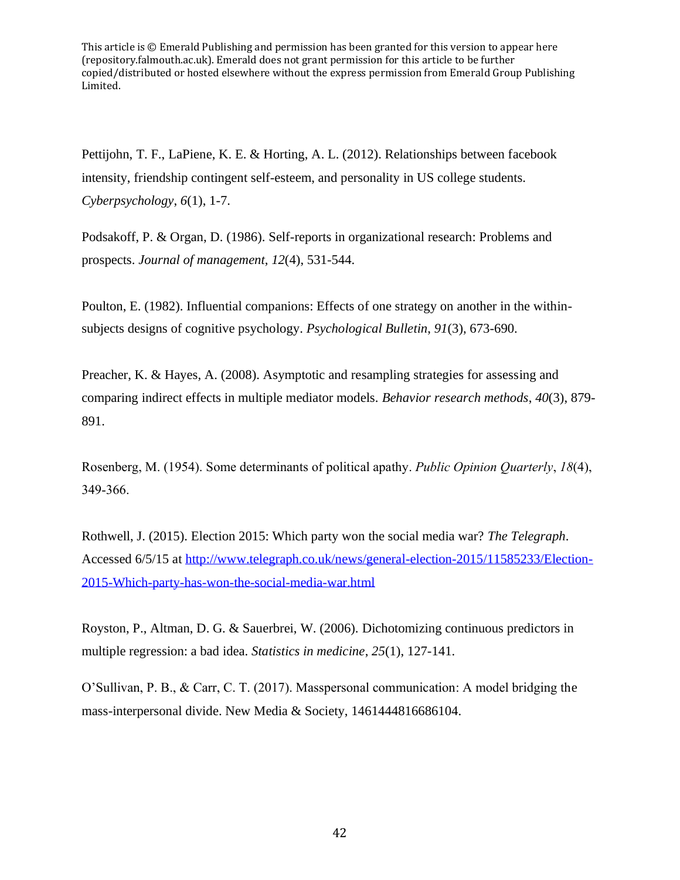Pettijohn, T. F., LaPiene, K. E. & Horting, A. L. (2012). Relationships between facebook intensity, friendship contingent self-esteem, and personality in US college students. *Cyberpsychology*, *6*(1), 1-7.

Podsakoff, P. & Organ, D. (1986). Self-reports in organizational research: Problems and prospects. *Journal of management*, *12*(4), 531-544.

Poulton, E. (1982). Influential companions: Effects of one strategy on another in the withinsubjects designs of cognitive psychology. *Psychological Bulletin*, *91*(3), 673-690.

Preacher, K. & Hayes, A. (2008). Asymptotic and resampling strategies for assessing and comparing indirect effects in multiple mediator models. *Behavior research methods*, *40*(3), 879- 891.

Rosenberg, M. (1954). Some determinants of political apathy. *Public Opinion Quarterly*, *18*(4), 349-366.

Rothwell, J. (2015). Election 2015: Which party won the social media war? *The Telegraph*. Accessed 6/5/15 at [http://www.telegraph.co.uk/news/general-election-2015/11585233/Election-](http://www.telegraph.co.uk/news/general-election-2015/11585233/Election-2015-Which-party-has-won-the-social-media-war.html)[2015-Which-party-has-won-the-social-media-war.html](http://www.telegraph.co.uk/news/general-election-2015/11585233/Election-2015-Which-party-has-won-the-social-media-war.html)

Royston, P., Altman, D. G. & Sauerbrei, W. (2006). Dichotomizing continuous predictors in multiple regression: a bad idea. *Statistics in medicine*, *25*(1), 127-141.

O'Sullivan, P. B., & Carr, C. T. (2017). Masspersonal communication: A model bridging the mass-interpersonal divide. New Media & Society, 1461444816686104.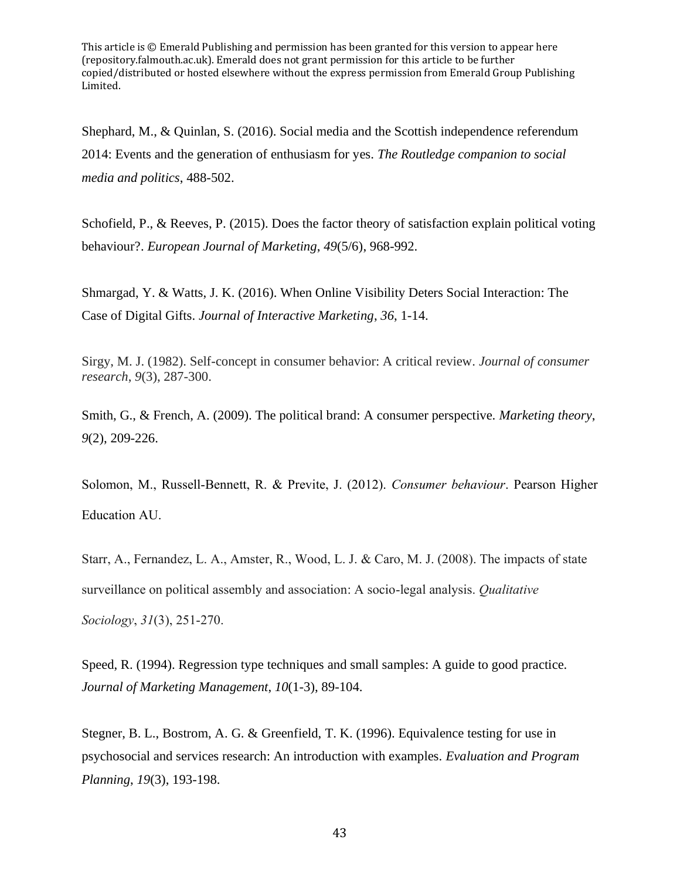Shephard, M., & Quinlan, S. (2016). Social media and the Scottish independence referendum 2014: Events and the generation of enthusiasm for yes. *The Routledge companion to social media and politics*, 488-502.

Schofield, P., & Reeves, P. (2015). Does the factor theory of satisfaction explain political voting behaviour?. *European Journal of Marketing*, *49*(5/6), 968-992.

Shmargad, Y. & Watts, J. K. (2016). When Online Visibility Deters Social Interaction: The Case of Digital Gifts. *Journal of Interactive Marketing*, *36*, 1-14.

Sirgy, M. J. (1982). Self-concept in consumer behavior: A critical review. *Journal of consumer research*, *9*(3), 287-300.

Smith, G., & French, A. (2009). The political brand: A consumer perspective. *Marketing theory*, *9*(2), 209-226.

Solomon, M., Russell-Bennett, R. & Previte, J. (2012). *Consumer behaviour*. Pearson Higher Education AU.

Starr, A., Fernandez, L. A., Amster, R., Wood, L. J. & Caro, M. J. (2008). The impacts of state surveillance on political assembly and association: A socio-legal analysis. *Qualitative Sociology*, *31*(3), 251-270.

Speed, R. (1994). Regression type techniques and small samples: A guide to good practice. *Journal of Marketing Management*, *10*(1-3), 89-104.

Stegner, B. L., Bostrom, A. G. & Greenfield, T. K. (1996). Equivalence testing for use in psychosocial and services research: An introduction with examples. *Evaluation and Program Planning*, *19*(3), 193-198.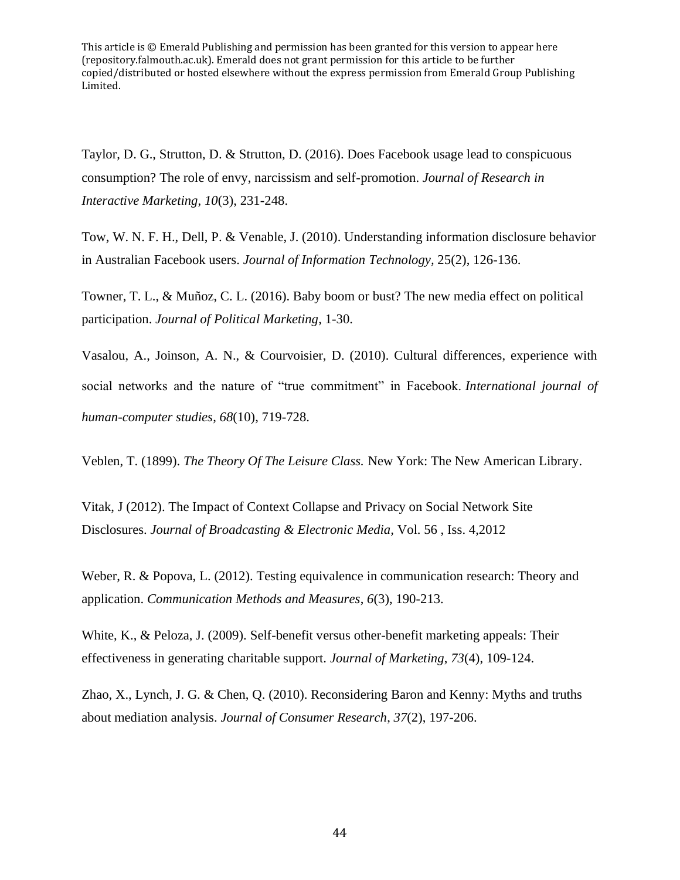Taylor, D. G., Strutton, D. & Strutton, D. (2016). Does Facebook usage lead to conspicuous consumption? The role of envy, narcissism and self-promotion. *Journal of Research in Interactive Marketing*, *10*(3), 231-248.

Tow, W. N. F. H., Dell, P. & Venable, J. (2010). Understanding information disclosure behavior in Australian Facebook users. *Journal of Information Technology,* 25(2), 126-136.

Towner, T. L., & Muñoz, C. L. (2016). Baby boom or bust? The new media effect on political participation. *Journal of Political Marketing*, 1-30.

Vasalou, A., Joinson, A. N., & Courvoisier, D. (2010). Cultural differences, experience with social networks and the nature of "true commitment" in Facebook. *International journal of human-computer studies*, *68*(10), 719-728.

Veblen, T. (1899). *The Theory Of The Leisure Class.* New York: The New American Library.

Vitak, J (2012). The Impact of Context Collapse and Privacy on Social Network Site Disclosures. *Journal of Broadcasting & Electronic Media,* Vol. 56 , Iss. 4,2012

Weber, R. & Popova, L. (2012). Testing equivalence in communication research: Theory and application. *Communication Methods and Measures*, *6*(3), 190-213.

White, K., & Peloza, J. (2009). Self-benefit versus other-benefit marketing appeals: Their effectiveness in generating charitable support. *Journal of Marketing*, *73*(4), 109-124.

Zhao, X., Lynch, J. G. & Chen, Q. (2010). Reconsidering Baron and Kenny: Myths and truths about mediation analysis. *Journal of Consumer Research*, *37*(2), 197-206.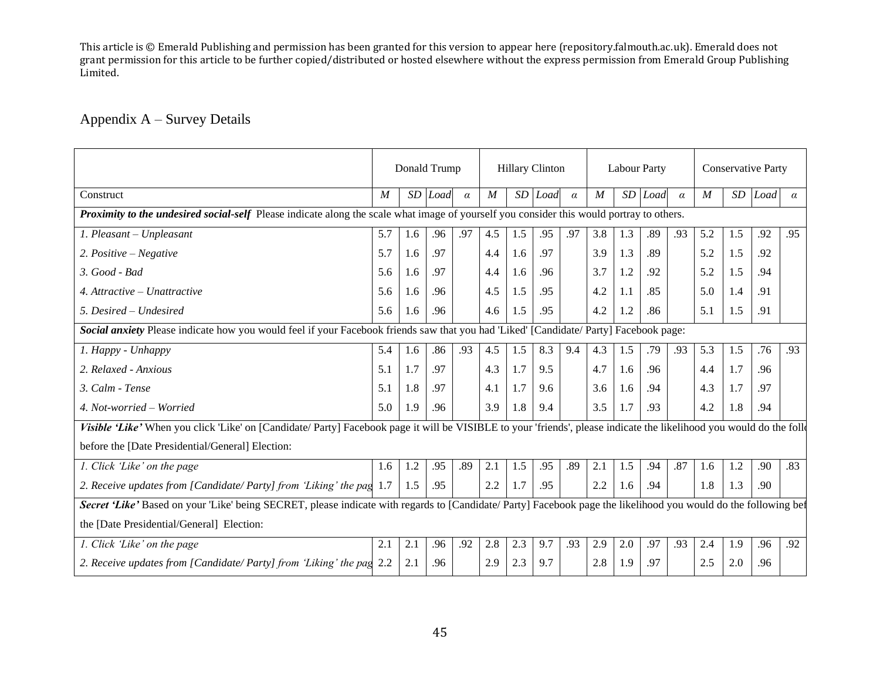# Appendix A – Survey Details

|                                                                                                                                                                     | Donald Trump     |     |         | <b>Hillary Clinton</b> |                  |     | <b>Labour Party</b> |          |                  |     | <b>Conservative Party</b> |          |                  |     |      |          |
|---------------------------------------------------------------------------------------------------------------------------------------------------------------------|------------------|-----|---------|------------------------|------------------|-----|---------------------|----------|------------------|-----|---------------------------|----------|------------------|-----|------|----------|
| Construct                                                                                                                                                           | $\boldsymbol{M}$ |     | SD Load | $\alpha$               | $\boldsymbol{M}$ | SD  | Load                | $\alpha$ | $\boldsymbol{M}$ |     | SD Load                   | $\alpha$ | $\boldsymbol{M}$ | SD  | Load | $\alpha$ |
| Proximity to the undesired social-self Please indicate along the scale what image of yourself you consider this would portray to others.                            |                  |     |         |                        |                  |     |                     |          |                  |     |                           |          |                  |     |      |          |
| 1. Pleasant - Unpleasant                                                                                                                                            | 5.7              | 1.6 | .96     | .97                    | 4.5              | 1.5 | .95                 | .97      | 3.8              | 1.3 | .89                       | .93      | 5.2              | 1.5 | .92  | .95      |
| 2. Positive – Negative                                                                                                                                              | 5.7              | 1.6 | .97     |                        | 4.4              | 1.6 | .97                 |          | 3.9              | 1.3 | .89                       |          | 5.2              | 1.5 | .92  |          |
| 3. Good - Bad                                                                                                                                                       | 5.6              | 1.6 | .97     |                        | 4.4              | 1.6 | .96                 |          | 3.7              | 1.2 | .92                       |          | 5.2              | 1.5 | .94  |          |
| 4. Attractive $-$ Unattractive                                                                                                                                      | 5.6              | 1.6 | .96     |                        | 4.5              | 1.5 | .95                 |          | 4.2              | 1.1 | .85                       |          | 5.0              | 1.4 | .91  |          |
| 5. Desired - Undesired                                                                                                                                              | 5.6              | 1.6 | .96     |                        | 4.6              | 1.5 | .95                 |          | 4.2              | 1.2 | .86                       |          | 5.1              | 1.5 | .91  |          |
| Social anxiety Please indicate how you would feel if your Facebook friends saw that you had 'Liked' [Candidate/ Party] Facebook page:                               |                  |     |         |                        |                  |     |                     |          |                  |     |                           |          |                  |     |      |          |
| 1. Happy - Unhappy                                                                                                                                                  | 5.4              | 1.6 | .86     | .93                    | 4.5              | 1.5 | 8.3                 | 9.4      | 4.3              | 1.5 | .79                       | .93      | 5.3              | 1.5 | .76  | .93      |
| 2. Relaxed - Anxious                                                                                                                                                | 5.1              | 1.7 | .97     |                        | 4.3              | 1.7 | 9.5                 |          | 4.7              | 1.6 | .96                       |          | 4.4              | 1.7 | .96  |          |
| 3. Calm - Tense                                                                                                                                                     | 5.1              | 1.8 | .97     |                        | 4.1              | 1.7 | 9.6                 |          | 3.6              | 1.6 | .94                       |          | 4.3              | 1.7 | .97  |          |
| 4. Not-worried – Worried                                                                                                                                            | 5.0              | 1.9 | .96     |                        | 3.9              | 1.8 | 9.4                 |          | 3.5              | 1.7 | .93                       |          | 4.2              | 1.8 | .94  |          |
| Visible 'Like' When you click 'Like' on [Candidate/ Party] Facebook page it will be VISIBLE to your 'friends', please indicate the likelihood you would do the foll |                  |     |         |                        |                  |     |                     |          |                  |     |                           |          |                  |     |      |          |
| before the [Date Presidential/General] Election:                                                                                                                    |                  |     |         |                        |                  |     |                     |          |                  |     |                           |          |                  |     |      |          |
| 1. Click 'Like' on the page                                                                                                                                         | 1.6              | 1.2 | .95     | .89                    | 2.1              | 1.5 | .95                 | .89      | 2.1              | 1.5 | .94                       | .87      | 1.6              | 1.2 | .90  | .83      |
| 2. Receive updates from [Candidate/Party] from 'Liking' the pag 1.7                                                                                                 |                  | 1.5 | .95     |                        | 2.2              | 1.7 | .95                 |          | 2.2              | 1.6 | .94                       |          | 1.8              | 1.3 | .90  |          |
| Secret 'Like' Based on your 'Like' being SECRET, please indicate with regards to [Candidate/ Party] Facebook page the likelihood you would do the following being   |                  |     |         |                        |                  |     |                     |          |                  |     |                           |          |                  |     |      |          |
| the [Date Presidential/General] Election:                                                                                                                           |                  |     |         |                        |                  |     |                     |          |                  |     |                           |          |                  |     |      |          |
| 1. Click 'Like' on the page                                                                                                                                         | 2.1              | 2.1 | .96     | .92                    | 2.8              | 2.3 | 9.7                 | .93      | 2.9              | 2.0 | .97                       | .93      | 2.4              | 1.9 | .96  | .92      |
| 2. Receive updates from [Candidate/ Party] from 'Liking' the pag 2.2                                                                                                |                  | 2.1 | .96     |                        | 2.9              | 2.3 | 9.7                 |          | 2.8              | 1.9 | .97                       |          | 2.5              | 2.0 | .96  |          |